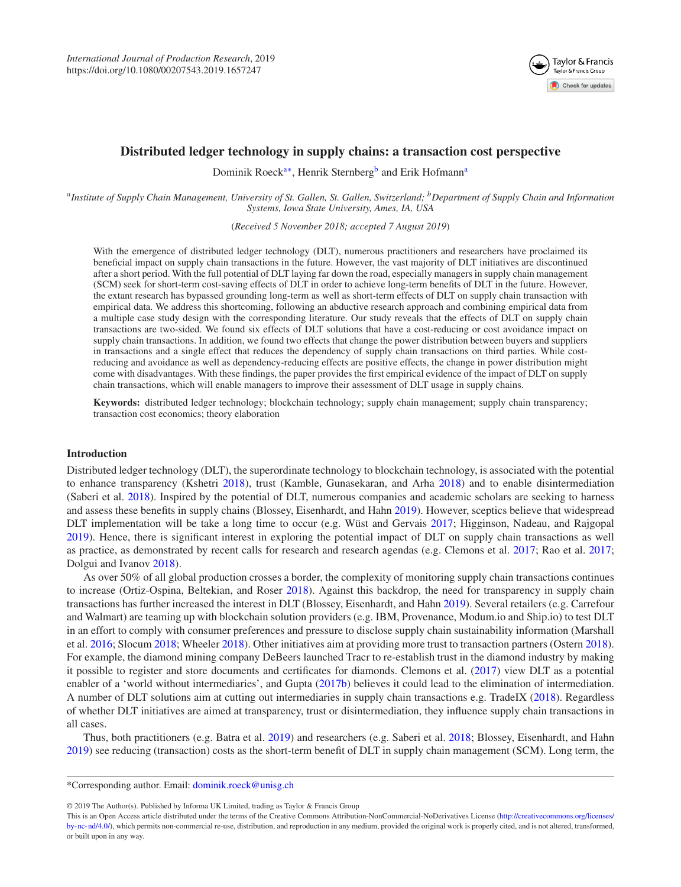<span id="page-0-2"></span>

# **Distributed ledger technology in supply chains: a transaction cost perspective**

Dominik Roeck<sup>a[∗](#page-0-1)</sup>, Henrik Stern[b](#page-0-2)erg<sup>b</sup> and Erik Hofmann<sup>a</sup>

<span id="page-0-0"></span>*aInstitute of Supply Chain Management, University of St. Gallen, St. Gallen, Switzerland; bDepartment of Supply Chain and Information Systems, Iowa State University, Ames, IA, USA*

(*Received 5 November 2018; accepted 7 August 2019*)

With the emergence of distributed ledger technology (DLT), numerous practitioners and researchers have proclaimed its beneficial impact on supply chain transactions in the future. However, the vast majority of DLT initiatives are discontinued after a short period. With the full potential of DLT laying far down the road, especially managers in supply chain management (SCM) seek for short-term cost-saving effects of DLT in order to achieve long-term benefits of DLT in the future. However, the extant research has bypassed grounding long-term as well as short-term effects of DLT on supply chain transaction with empirical data. We address this shortcoming, following an abductive research approach and combining empirical data from a multiple case study design with the corresponding literature. Our study reveals that the effects of DLT on supply chain transactions are two-sided. We found six effects of DLT solutions that have a cost-reducing or cost avoidance impact on supply chain transactions. In addition, we found two effects that change the power distribution between buyers and suppliers in transactions and a single effect that reduces the dependency of supply chain transactions on third parties. While costreducing and avoidance as well as dependency-reducing effects are positive effects, the change in power distribution might come with disadvantages. With these findings, the paper provides the first empirical evidence of the impact of DLT on supply chain transactions, which will enable managers to improve their assessment of DLT usage in supply chains.

**Keywords:** distributed ledger technology; blockchain technology; supply chain management; supply chain transparency; transaction cost economics; theory elaboration

## **Introduction**

Distributed ledger technology (DLT), the superordinate technology to blockchain technology, is associated with the potential to enhance transparency (Kshetri [2018\)](#page-16-0), trust (Kamble, Gunasekaran, and Arha [2018\)](#page-15-0) and to enable disintermediation (Saberi et al. [2018\)](#page-16-1). Inspired by the potential of DLT, numerous companies and academic scholars are seeking to harness and assess these benefits in supply chains (Blossey, Eisenhardt, and Hahn [2019\)](#page-15-1). However, sceptics believe that widespread DLT implementation will be take a long time to occur (e.g. Wüst and Gervais [2017;](#page-16-2) Higginson, Nadeau, and Rajgopal [2019\)](#page-15-2). Hence, there is significant interest in exploring the potential impact of DLT on supply chain transactions as well as practice, as demonstrated by recent calls for research and research agendas (e.g. Clemons et al. [2017;](#page-15-3) Rao et al. [2017;](#page-16-3) Dolgui and Ivanov [2018\)](#page-15-4).

As over 50% of all global production crosses a border, the complexity of monitoring supply chain transactions continues to increase (Ortiz-Ospina, Beltekian, and Roser [2018\)](#page-16-4). Against this backdrop, the need for transparency in supply chain transactions has further increased the interest in DLT (Blossey, Eisenhardt, and Hahn [2019\)](#page-15-1). Several retailers (e.g. Carrefour and Walmart) are teaming up with blockchain solution providers (e.g. IBM, Provenance, Modum.io and Ship.io) to test DLT in an effort to comply with consumer preferences and pressure to disclose supply chain sustainability information (Marshall et al. [2016;](#page-16-5) Slocum [2018;](#page-16-6) Wheeler [2018\)](#page-16-7). Other initiatives aim at providing more trust to transaction partners (Ostern [2018\)](#page-16-8). For example, the diamond mining company DeBeers launched Tracr to re-establish trust in the diamond industry by making it possible to register and store documents and certificates for diamonds. Clemons et al. [\(2017\)](#page-15-3) view DLT as a potential enabler of a 'world without intermediaries', and Gupta [\(2017b\)](#page-15-5) believes it could lead to the elimination of intermediation. A number of DLT solutions aim at cutting out intermediaries in supply chain transactions e.g. TradeIX [\(2018\)](#page-16-9). Regardless of whether DLT initiatives are aimed at transparency, trust or disintermediation, they influence supply chain transactions in all cases.

Thus, both practitioners (e.g. Batra et al. [2019\)](#page-14-0) and researchers (e.g. Saberi et al. [2018;](#page-16-1) Blossey, Eisenhardt, and Hahn [2019\)](#page-15-1) see reducing (transaction) costs as the short-term benefit of DLT in supply chain management (SCM). Long term, the

© 2019 The Author(s). Published by Informa UK Limited, trading as Taylor & Francis Group

<span id="page-0-1"></span><sup>\*</sup>Corresponding author. Email: [dominik.roeck@unisg.ch](mailto:dominik.roeck@unisg.ch)

This is an Open Access article distributed under the terms of the Creative Commons Attribution-NonCommercial-NoDerivatives License [\(http://creativecommons.org/licenses/](http://creativecommons.org/licenses/by-nc-nd/4.0/) [by-nc-nd/4.0/\)](http://creativecommons.org/licenses/by-nc-nd/4.0/), which permits non-commercial re-use, distribution, and reproduction in any medium, provided the original work is properly cited, and is not altered, transformed, or built upon in any way.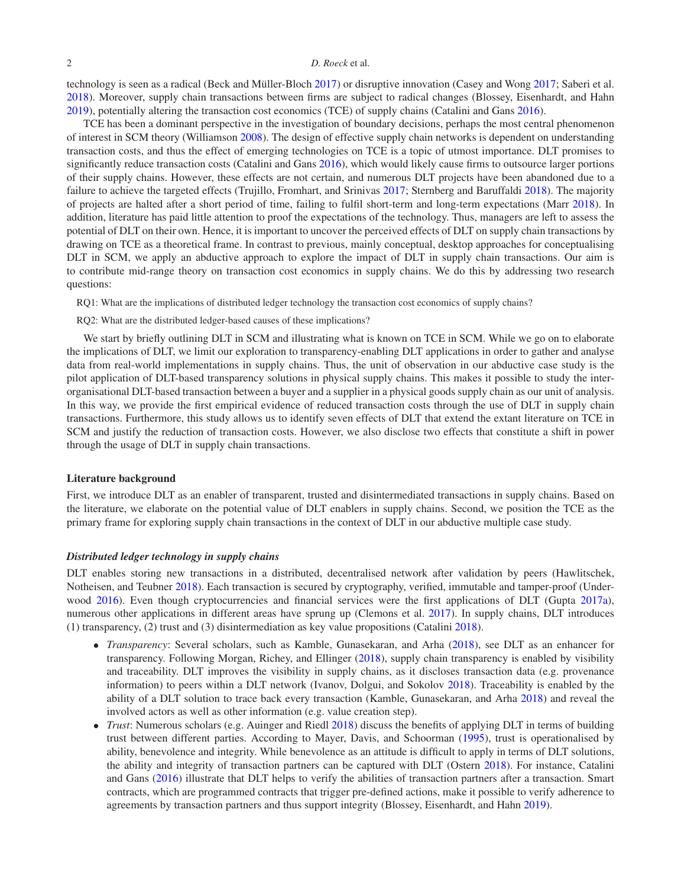technology is seen as a radical (Beck and Müller-Bloch [2017\)](#page-15-6) or disruptive innovation (Casey and Wong [2017;](#page-15-7) Saberi et al. [2018\)](#page-16-1). Moreover, supply chain transactions between firms are subject to radical changes (Blossey, Eisenhardt, and Hahn [2019\)](#page-15-1), potentially altering the transaction cost economics (TCE) of supply chains (Catalini and Gans [2016\)](#page-15-8).

TCE has been a dominant perspective in the investigation of boundary decisions, perhaps the most central phenomenon of interest in SCM theory (Williamson [2008\)](#page-16-10). The design of effective supply chain networks is dependent on understanding transaction costs, and thus the effect of emerging technologies on TCE is a topic of utmost importance. DLT promises to significantly reduce transaction costs (Catalini and Gans [2016\)](#page-15-8), which would likely cause firms to outsource larger portions of their supply chains. However, these effects are not certain, and numerous DLT projects have been abandoned due to a failure to achieve the targeted effects (Trujillo, Fromhart, and Srinivas [2017;](#page-16-11) Sternberg and Baruffaldi [2018\)](#page-16-12). The majority of projects are halted after a short period of time, failing to fulfil short-term and long-term expectations (Marr [2018\)](#page-16-13). In addition, literature has paid little attention to proof the expectations of the technology. Thus, managers are left to assess the potential of DLT on their own. Hence, it is important to uncover the perceived effects of DLT on supply chain transactions by drawing on TCE as a theoretical frame. In contrast to previous, mainly conceptual, desktop approaches for conceptualising DLT in SCM, we apply an abductive approach to explore the impact of DLT in supply chain transactions. Our aim is to contribute mid-range theory on transaction cost economics in supply chains. We do this by addressing two research questions:

RQ1: What are the implications of distributed ledger technology the transaction cost economics of supply chains?

RQ2: What are the distributed ledger-based causes of these implications?

We start by briefly outlining DLT in SCM and illustrating what is known on TCE in SCM. While we go on to elaborate the implications of DLT, we limit our exploration to transparency-enabling DLT applications in order to gather and analyse data from real-world implementations in supply chains. Thus, the unit of observation in our abductive case study is the pilot application of DLT-based transparency solutions in physical supply chains. This makes it possible to study the interorganisational DLT-based transaction between a buyer and a supplier in a physical goods supply chain as our unit of analysis. In this way, we provide the first empirical evidence of reduced transaction costs through the use of DLT in supply chain transactions. Furthermore, this study allows us to identify seven effects of DLT that extend the extant literature on TCE in SCM and justify the reduction of transaction costs. However, we also disclose two effects that constitute a shift in power through the usage of DLT in supply chain transactions.

#### **Literature background**

First, we introduce DLT as an enabler of transparent, trusted and disintermediated transactions in supply chains. Based on the literature, we elaborate on the potential value of DLT enablers in supply chains. Second, we position the TCE as the primary frame for exploring supply chain transactions in the context of DLT in our abductive multiple case study.

## *Distributed ledger technology in supply chains*

DLT enables storing new transactions in a distributed, decentralised network after validation by peers (Hawlitschek, Notheisen, and Teubner [2018\)](#page-15-9). Each transaction is secured by cryptography, verified, immutable and tamper-proof (Under-wood [2016\)](#page-16-14). Even though cryptocurrencies and financial services were the first applications of DLT (Gupta [2017a\)](#page-15-10), numerous other applications in different areas have sprung up (Clemons et al. [2017\)](#page-15-3). In supply chains, DLT introduces (1) transparency, (2) trust and (3) disintermediation as key value propositions (Catalini [2018\)](#page-15-11).

- *Transparency*: Several scholars, such as Kamble, Gunasekaran, and Arha [\(2018\)](#page-15-0), see DLT as an enhancer for transparency. Following Morgan, Richey, and Ellinger [\(2018\)](#page-16-15), supply chain transparency is enabled by visibility and traceability. DLT improves the visibility in supply chains, as it discloses transaction data (e.g. provenance information) to peers within a DLT network (Ivanov, Dolgui, and Sokolov [2018\)](#page-15-12). Traceability is enabled by the ability of a DLT solution to trace back every transaction (Kamble, Gunasekaran, and Arha [2018\)](#page-15-0) and reveal the involved actors as well as other information (e.g. value creation step).
- *Trust*: Numerous scholars (e.g. Auinger and Riedl [2018\)](#page-14-1) discuss the benefits of applying DLT in terms of building trust between different parties. According to Mayer, Davis, and Schoorman [\(1995\)](#page-16-16), trust is operationalised by ability, benevolence and integrity. While benevolence as an attitude is difficult to apply in terms of DLT solutions, the ability and integrity of transaction partners can be captured with DLT (Ostern [2018\)](#page-16-8). For instance, Catalini and Gans [\(2016\)](#page-15-8) illustrate that DLT helps to verify the abilities of transaction partners after a transaction. Smart contracts, which are programmed contracts that trigger pre-defined actions, make it possible to verify adherence to agreements by transaction partners and thus support integrity (Blossey, Eisenhardt, and Hahn [2019\)](#page-15-1).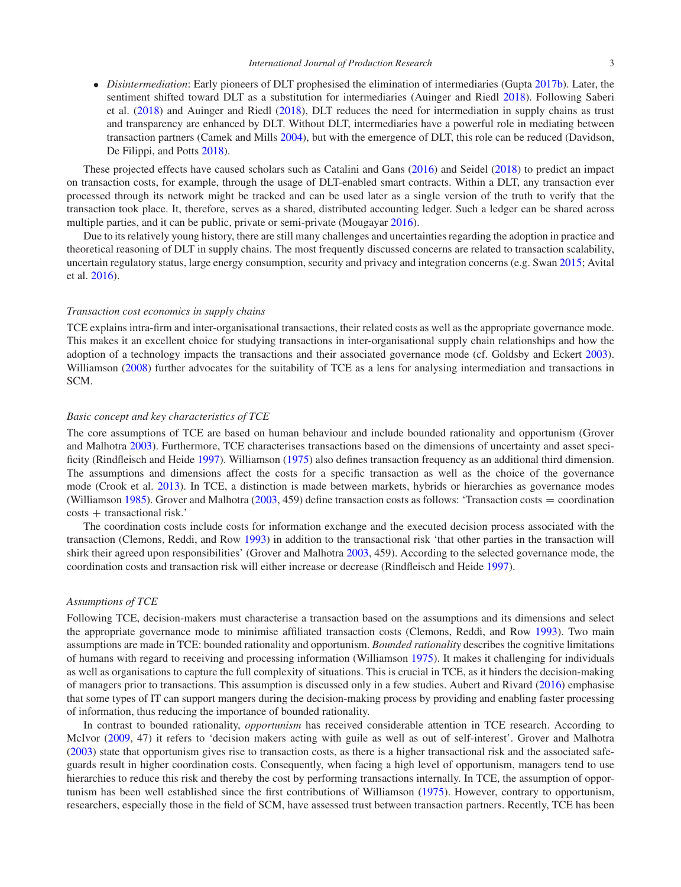- 
- *Disintermediation*: Early pioneers of DLT prophesised the elimination of intermediaries (Gupta [2017b\)](#page-15-5). Later, the sentiment shifted toward DLT as a substitution for intermediaries (Auinger and Riedl [2018\)](#page-14-1). Following Saberi et al. [\(2018\)](#page-16-1) and Auinger and Riedl [\(2018\)](#page-14-1), DLT reduces the need for intermediation in supply chains as trust and transparency are enhanced by DLT. Without DLT, intermediaries have a powerful role in mediating between transaction partners (Camek and Mills [2004\)](#page-15-13), but with the emergence of DLT, this role can be reduced (Davidson, De Filippi, and Potts [2018\)](#page-15-14).

These projected effects have caused scholars such as Catalini and Gans [\(2016\)](#page-15-8) and Seidel [\(2018\)](#page-16-17) to predict an impact on transaction costs, for example, through the usage of DLT-enabled smart contracts. Within a DLT, any transaction ever processed through its network might be tracked and can be used later as a single version of the truth to verify that the transaction took place. It, therefore, serves as a shared, distributed accounting ledger. Such a ledger can be shared across multiple parties, and it can be public, private or semi-private (Mougayar [2016\)](#page-16-18).

Due to its relatively young history, there are still many challenges and uncertainties regarding the adoption in practice and theoretical reasoning of DLT in supply chains. The most frequently discussed concerns are related to transaction scalability, uncertain regulatory status, large energy consumption, security and privacy and integration concerns (e.g. Swan [2015;](#page-16-19) Avital et al. [2016\)](#page-14-2).

#### *Transaction cost economics in supply chains*

TCE explains intra-firm and inter-organisational transactions, their related costs as well as the appropriate governance mode. This makes it an excellent choice for studying transactions in inter-organisational supply chain relationships and how the adoption of a technology impacts the transactions and their associated governance mode (cf. Goldsby and Eckert [2003\)](#page-15-15). Williamson [\(2008\)](#page-16-10) further advocates for the suitability of TCE as a lens for analysing intermediation and transactions in SCM.

### *Basic concept and key characteristics of TCE*

The core assumptions of TCE are based on human behaviour and include bounded rationality and opportunism (Grover and Malhotra [2003\)](#page-15-16). Furthermore, TCE characterises transactions based on the dimensions of uncertainty and asset specificity (Rindfleisch and Heide [1997\)](#page-16-20). Williamson [\(1975\)](#page-16-21) also defines transaction frequency as an additional third dimension. The assumptions and dimensions affect the costs for a specific transaction as well as the choice of the governance mode (Crook et al. [2013\)](#page-15-17). In TCE, a distinction is made between markets, hybrids or hierarchies as governance modes (Williamson [1985\)](#page-16-22). Grover and Malhotra [\(2003,](#page-15-16) 459) define transaction costs as follows: 'Transaction costs = coordination costs + transactional risk.'

The coordination costs include costs for information exchange and the executed decision process associated with the transaction (Clemons, Reddi, and Row [1993\)](#page-15-18) in addition to the transactional risk 'that other parties in the transaction will shirk their agreed upon responsibilities' (Grover and Malhotra [2003,](#page-15-16) 459). According to the selected governance mode, the coordination costs and transaction risk will either increase or decrease (Rindfleisch and Heide [1997\)](#page-16-20).

## *Assumptions of TCE*

Following TCE, decision-makers must characterise a transaction based on the assumptions and its dimensions and select the appropriate governance mode to minimise affiliated transaction costs (Clemons, Reddi, and Row [1993\)](#page-15-18). Two main assumptions are made in TCE: bounded rationality and opportunism. *Bounded rationality* describes the cognitive limitations of humans with regard to receiving and processing information (Williamson [1975\)](#page-16-21). It makes it challenging for individuals as well as organisations to capture the full complexity of situations. This is crucial in TCE, as it hinders the decision-making of managers prior to transactions. This assumption is discussed only in a few studies. Aubert and Rivard [\(2016\)](#page-14-3) emphasise that some types of IT can support mangers during the decision-making process by providing and enabling faster processing of information, thus reducing the importance of bounded rationality.

In contrast to bounded rationality, *opportunism* has received considerable attention in TCE research. According to McIvor [\(2009,](#page-16-23) 47) it refers to 'decision makers acting with guile as well as out of self-interest'. Grover and Malhotra [\(2003\)](#page-15-16) state that opportunism gives rise to transaction costs, as there is a higher transactional risk and the associated safeguards result in higher coordination costs. Consequently, when facing a high level of opportunism, managers tend to use hierarchies to reduce this risk and thereby the cost by performing transactions internally. In TCE, the assumption of opportunism has been well established since the first contributions of Williamson [\(1975\)](#page-16-21). However, contrary to opportunism, researchers, especially those in the field of SCM, have assessed trust between transaction partners. Recently, TCE has been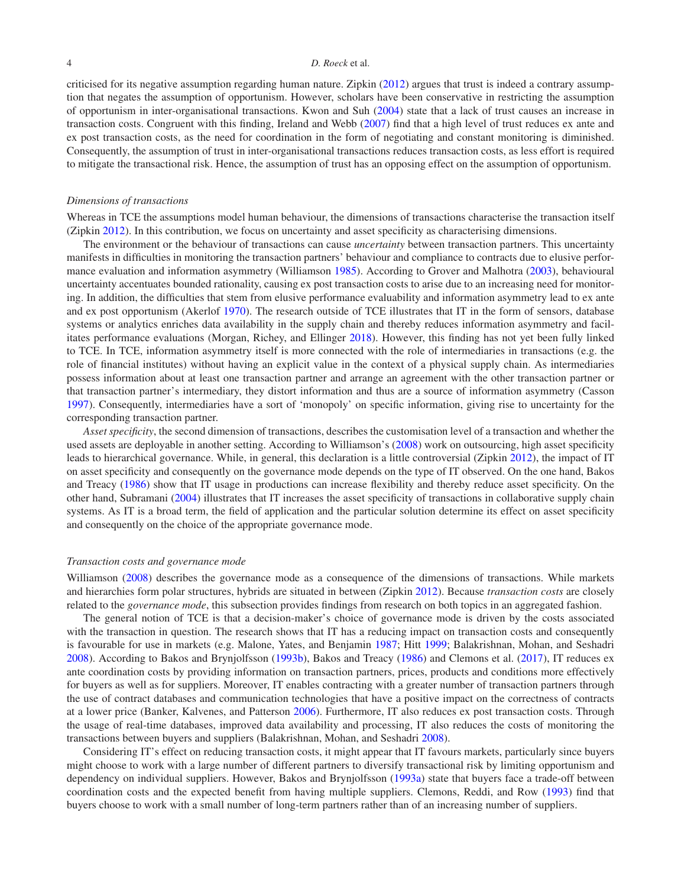criticised for its negative assumption regarding human nature. Zipkin [\(2012\)](#page-17-0) argues that trust is indeed a contrary assumption that negates the assumption of opportunism. However, scholars have been conservative in restricting the assumption of opportunism in inter-organisational transactions. Kwon and Suh [\(2004\)](#page-16-24) state that a lack of trust causes an increase in transaction costs. Congruent with this finding, Ireland and Webb [\(2007\)](#page-15-19) find that a high level of trust reduces ex ante and ex post transaction costs, as the need for coordination in the form of negotiating and constant monitoring is diminished. Consequently, the assumption of trust in inter-organisational transactions reduces transaction costs, as less effort is required to mitigate the transactional risk. Hence, the assumption of trust has an opposing effect on the assumption of opportunism.

#### *Dimensions of transactions*

Whereas in TCE the assumptions model human behaviour, the dimensions of transactions characterise the transaction itself (Zipkin [2012\)](#page-17-0). In this contribution, we focus on uncertainty and asset specificity as characterising dimensions.

The environment or the behaviour of transactions can cause *uncertainty* between transaction partners. This uncertainty manifests in difficulties in monitoring the transaction partners' behaviour and compliance to contracts due to elusive performance evaluation and information asymmetry (Williamson [1985\)](#page-16-22). According to Grover and Malhotra [\(2003\)](#page-15-16), behavioural uncertainty accentuates bounded rationality, causing ex post transaction costs to arise due to an increasing need for monitoring. In addition, the difficulties that stem from elusive performance evaluability and information asymmetry lead to ex ante and ex post opportunism (Akerlof [1970\)](#page-14-4). The research outside of TCE illustrates that IT in the form of sensors, database systems or analytics enriches data availability in the supply chain and thereby reduces information asymmetry and facilitates performance evaluations (Morgan, Richey, and Ellinger [2018\)](#page-16-15). However, this finding has not yet been fully linked to TCE. In TCE, information asymmetry itself is more connected with the role of intermediaries in transactions (e.g. the role of financial institutes) without having an explicit value in the context of a physical supply chain. As intermediaries possess information about at least one transaction partner and arrange an agreement with the other transaction partner or that transaction partner's intermediary, they distort information and thus are a source of information asymmetry (Casson [1997\)](#page-15-20). Consequently, intermediaries have a sort of 'monopoly' on specific information, giving rise to uncertainty for the corresponding transaction partner.

*Asset specificity*, the second dimension of transactions, describes the customisation level of a transaction and whether the used assets are deployable in another setting. According to Williamson's [\(2008\)](#page-16-10) work on outsourcing, high asset specificity leads to hierarchical governance. While, in general, this declaration is a little controversial (Zipkin [2012\)](#page-17-0), the impact of IT on asset specificity and consequently on the governance mode depends on the type of IT observed. On the one hand, Bakos and Treacy [\(1986\)](#page-14-5) show that IT usage in productions can increase flexibility and thereby reduce asset specificity. On the other hand, Subramani [\(2004\)](#page-16-25) illustrates that IT increases the asset specificity of transactions in collaborative supply chain systems. As IT is a broad term, the field of application and the particular solution determine its effect on asset specificity and consequently on the choice of the appropriate governance mode.

### *Transaction costs and governance mode*

Williamson [\(2008\)](#page-16-10) describes the governance mode as a consequence of the dimensions of transactions. While markets and hierarchies form polar structures, hybrids are situated in between (Zipkin [2012\)](#page-17-0). Because *transaction costs* are closely related to the *governance mode*, this subsection provides findings from research on both topics in an aggregated fashion.

The general notion of TCE is that a decision-maker's choice of governance mode is driven by the costs associated with the transaction in question. The research shows that IT has a reducing impact on transaction costs and consequently is favourable for use in markets (e.g. Malone, Yates, and Benjamin [1987;](#page-16-26) Hitt [1999;](#page-15-21) Balakrishnan, Mohan, and Seshadri [2008\)](#page-14-6). According to Bakos and Brynjolfsson [\(1993b\)](#page-14-7), Bakos and Treacy [\(1986\)](#page-14-5) and Clemons et al. [\(2017\)](#page-15-3), IT reduces ex ante coordination costs by providing information on transaction partners, prices, products and conditions more effectively for buyers as well as for suppliers. Moreover, IT enables contracting with a greater number of transaction partners through the use of contract databases and communication technologies that have a positive impact on the correctness of contracts at a lower price (Banker, Kalvenes, and Patterson [2006\)](#page-14-8). Furthermore, IT also reduces ex post transaction costs. Through the usage of real-time databases, improved data availability and processing, IT also reduces the costs of monitoring the transactions between buyers and suppliers (Balakrishnan, Mohan, and Seshadri [2008\)](#page-14-6).

Considering IT's effect on reducing transaction costs, it might appear that IT favours markets, particularly since buyers might choose to work with a large number of different partners to diversify transactional risk by limiting opportunism and dependency on individual suppliers. However, Bakos and Brynjolfsson [\(1993a\)](#page-14-9) state that buyers face a trade-off between coordination costs and the expected benefit from having multiple suppliers. Clemons, Reddi, and Row [\(1993\)](#page-15-18) find that buyers choose to work with a small number of long-term partners rather than of an increasing number of suppliers.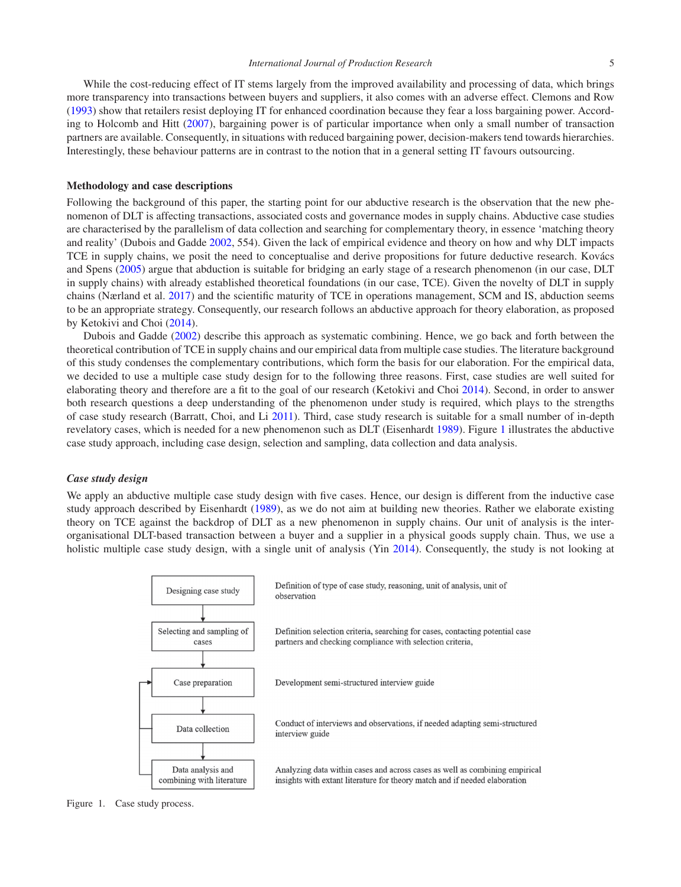While the cost-reducing effect of IT stems largely from the improved availability and processing of data, which brings more transparency into transactions between buyers and suppliers, it also comes with an adverse effect. Clemons and Row [\(1993\)](#page-15-22) show that retailers resist deploying IT for enhanced coordination because they fear a loss bargaining power. According to Holcomb and Hitt [\(2007\)](#page-15-23), bargaining power is of particular importance when only a small number of transaction partners are available. Consequently, in situations with reduced bargaining power, decision-makers tend towards hierarchies. Interestingly, these behaviour patterns are in contrast to the notion that in a general setting IT favours outsourcing.

#### **Methodology and case descriptions**

Following the background of this paper, the starting point for our abductive research is the observation that the new phenomenon of DLT is affecting transactions, associated costs and governance modes in supply chains. Abductive case studies are characterised by the parallelism of data collection and searching for complementary theory, in essence 'matching theory and reality' (Dubois and Gadde [2002,](#page-15-24) 554). Given the lack of empirical evidence and theory on how and why DLT impacts TCE in supply chains, we posit the need to conceptualise and derive propositions for future deductive research. Kovács and Spens [\(2005\)](#page-15-25) argue that abduction is suitable for bridging an early stage of a research phenomenon (in our case, DLT in supply chains) with already established theoretical foundations (in our case, TCE). Given the novelty of DLT in supply chains (Nærland et al. [2017\)](#page-16-27) and the scientific maturity of TCE in operations management, SCM and IS, abduction seems to be an appropriate strategy. Consequently, our research follows an abductive approach for theory elaboration, as proposed by Ketokivi and Choi [\(2014\)](#page-15-26).

Dubois and Gadde [\(2002\)](#page-15-24) describe this approach as systematic combining. Hence, we go back and forth between the theoretical contribution of TCE in supply chains and our empirical data from multiple case studies. The literature background of this study condenses the complementary contributions, which form the basis for our elaboration. For the empirical data, we decided to use a multiple case study design for to the following three reasons. First, case studies are well suited for elaborating theory and therefore are a fit to the goal of our research (Ketokivi and Choi [2014\)](#page-15-26). Second, in order to answer both research questions a deep understanding of the phenomenon under study is required, which plays to the strengths of case study research (Barratt, Choi, and Li [2011\)](#page-14-10). Third, case study research is suitable for a small number of in-depth revelatory cases, which is needed for a new phenomenon such as DLT (Eisenhardt [1989\)](#page-15-27). Figure [1](#page-4-0) illustrates the abductive case study approach, including case design, selection and sampling, data collection and data analysis.

## *Case study design*

We apply an abductive multiple case study design with five cases. Hence, our design is different from the inductive case study approach described by Eisenhardt [\(1989\)](#page-15-27), as we do not aim at building new theories. Rather we elaborate existing theory on TCE against the backdrop of DLT as a new phenomenon in supply chains. Our unit of analysis is the interorganisational DLT-based transaction between a buyer and a supplier in a physical goods supply chain. Thus, we use a holistic multiple case study design, with a single unit of analysis (Yin [2014\)](#page-17-1). Consequently, the study is not looking at



<span id="page-4-0"></span>Figure 1. Case study process.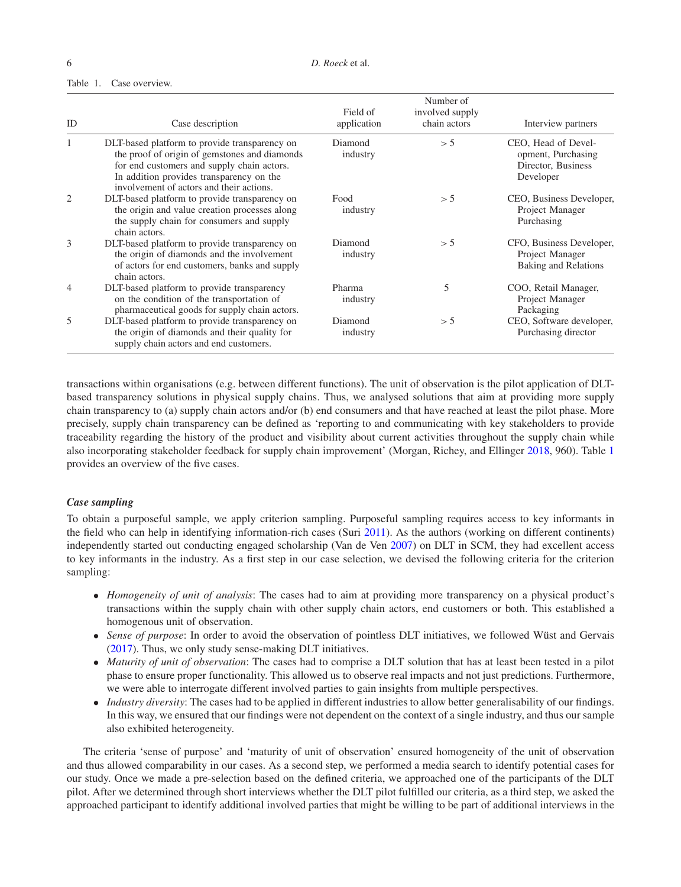## <span id="page-5-0"></span>Table 1. Case overview.

| ID             | Case description                                                                                                                                                                                                                     | Field of<br>application | Number of<br>involved supply<br>chain actors | Interview partners                                                           |
|----------------|--------------------------------------------------------------------------------------------------------------------------------------------------------------------------------------------------------------------------------------|-------------------------|----------------------------------------------|------------------------------------------------------------------------------|
|                | DLT-based platform to provide transparency on<br>the proof of origin of gemstones and diamonds<br>for end customers and supply chain actors.<br>In addition provides transparency on the<br>involvement of actors and their actions. | Diamond<br>industry     | > 5                                          | CEO, Head of Devel-<br>opment, Purchasing<br>Director, Business<br>Developer |
| 2              | DLT-based platform to provide transparency on<br>the origin and value creation processes along<br>the supply chain for consumers and supply<br>chain actors.                                                                         | Food<br>industry        | > 5                                          | CEO, Business Developer,<br>Project Manager<br>Purchasing                    |
| 3              | DLT-based platform to provide transparency on<br>the origin of diamonds and the involvement<br>of actors for end customers, banks and supply<br>chain actors.                                                                        | Diamond<br>industry     | > 5                                          | CFO, Business Developer,<br>Project Manager<br>Baking and Relations          |
| $\overline{4}$ | DLT-based platform to provide transparency<br>on the condition of the transportation of<br>pharmaceutical goods for supply chain actors.                                                                                             | Pharma<br>industry      | 5                                            | COO, Retail Manager,<br>Project Manager<br>Packaging                         |
| 5              | DLT-based platform to provide transparency on<br>the origin of diamonds and their quality for<br>supply chain actors and end customers.                                                                                              | Diamond<br>industry     | > 5                                          | CEO, Software developer,<br>Purchasing director                              |

transactions within organisations (e.g. between different functions). The unit of observation is the pilot application of DLTbased transparency solutions in physical supply chains. Thus, we analysed solutions that aim at providing more supply chain transparency to (a) supply chain actors and/or (b) end consumers and that have reached at least the pilot phase. More precisely, supply chain transparency can be defined as 'reporting to and communicating with key stakeholders to provide traceability regarding the history of the product and visibility about current activities throughout the supply chain while also incorporating stakeholder feedback for supply chain improvement' (Morgan, Richey, and Ellinger [2018,](#page-16-15) 960). Table [1](#page-5-0) provides an overview of the five cases.

## *Case sampling*

To obtain a purposeful sample, we apply criterion sampling. Purposeful sampling requires access to key informants in the field who can help in identifying information-rich cases (Suri [2011\)](#page-16-28). As the authors (working on different continents) independently started out conducting engaged scholarship (Van de Ven [2007\)](#page-16-29) on DLT in SCM, they had excellent access to key informants in the industry. As a first step in our case selection, we devised the following criteria for the criterion sampling:

- *Homogeneity of unit of analysis*: The cases had to aim at providing more transparency on a physical product's transactions within the supply chain with other supply chain actors, end customers or both. This established a homogenous unit of observation.
- *Sense of purpose*: In order to avoid the observation of pointless DLT initiatives, we followed Wüst and Gervais [\(2017\)](#page-16-2). Thus, we only study sense-making DLT initiatives.
- *Maturity of unit of observation*: The cases had to comprise a DLT solution that has at least been tested in a pilot phase to ensure proper functionality. This allowed us to observe real impacts and not just predictions. Furthermore, we were able to interrogate different involved parties to gain insights from multiple perspectives.
- *Industry diversity*: The cases had to be applied in different industries to allow better generalisability of our findings. In this way, we ensured that our findings were not dependent on the context of a single industry, and thus our sample also exhibited heterogeneity.

The criteria 'sense of purpose' and 'maturity of unit of observation' ensured homogeneity of the unit of observation and thus allowed comparability in our cases. As a second step, we performed a media search to identify potential cases for our study. Once we made a pre-selection based on the defined criteria, we approached one of the participants of the DLT pilot. After we determined through short interviews whether the DLT pilot fulfilled our criteria, as a third step, we asked the approached participant to identify additional involved parties that might be willing to be part of additional interviews in the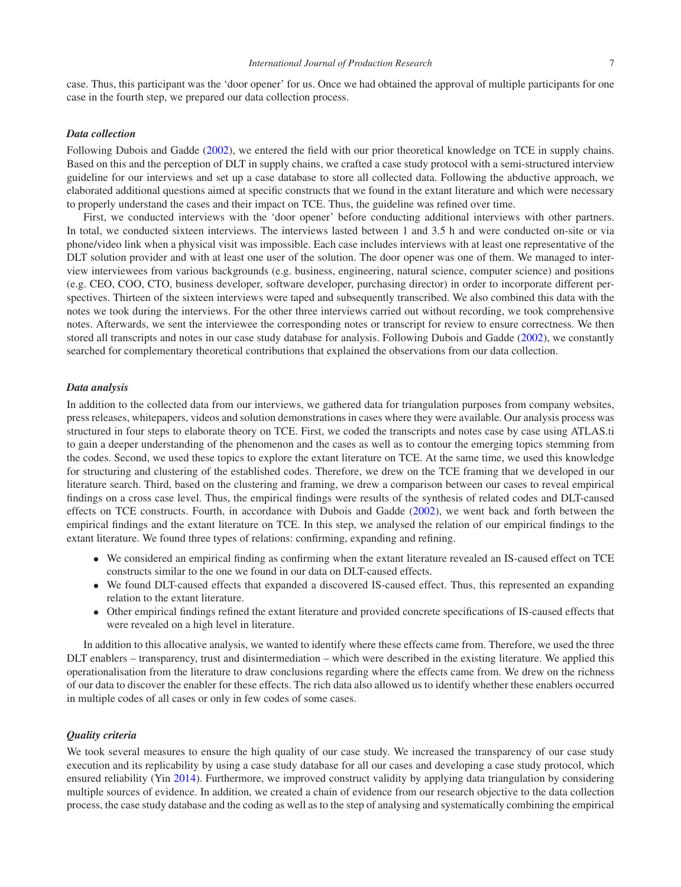case. Thus, this participant was the 'door opener' for us. Once we had obtained the approval of multiple participants for one case in the fourth step, we prepared our data collection process.

## *Data collection*

Following Dubois and Gadde [\(2002\)](#page-15-24), we entered the field with our prior theoretical knowledge on TCE in supply chains. Based on this and the perception of DLT in supply chains, we crafted a case study protocol with a semi-structured interview guideline for our interviews and set up a case database to store all collected data. Following the abductive approach, we elaborated additional questions aimed at specific constructs that we found in the extant literature and which were necessary to properly understand the cases and their impact on TCE. Thus, the guideline was refined over time.

First, we conducted interviews with the 'door opener' before conducting additional interviews with other partners. In total, we conducted sixteen interviews. The interviews lasted between 1 and 3.5 h and were conducted on-site or via phone/video link when a physical visit was impossible. Each case includes interviews with at least one representative of the DLT solution provider and with at least one user of the solution. The door opener was one of them. We managed to interview interviewees from various backgrounds (e.g. business, engineering, natural science, computer science) and positions (e.g. CEO, COO, CTO, business developer, software developer, purchasing director) in order to incorporate different perspectives. Thirteen of the sixteen interviews were taped and subsequently transcribed. We also combined this data with the notes we took during the interviews. For the other three interviews carried out without recording, we took comprehensive notes. Afterwards, we sent the interviewee the corresponding notes or transcript for review to ensure correctness. We then stored all transcripts and notes in our case study database for analysis. Following Dubois and Gadde [\(2002\)](#page-15-24), we constantly searched for complementary theoretical contributions that explained the observations from our data collection.

## *Data analysis*

In addition to the collected data from our interviews, we gathered data for triangulation purposes from company websites, press releases, whitepapers, videos and solution demonstrations in cases where they were available. Our analysis process was structured in four steps to elaborate theory on TCE. First, we coded the transcripts and notes case by case using ATLAS.ti to gain a deeper understanding of the phenomenon and the cases as well as to contour the emerging topics stemming from the codes. Second, we used these topics to explore the extant literature on TCE. At the same time, we used this knowledge for structuring and clustering of the established codes. Therefore, we drew on the TCE framing that we developed in our literature search. Third, based on the clustering and framing, we drew a comparison between our cases to reveal empirical findings on a cross case level. Thus, the empirical findings were results of the synthesis of related codes and DLT-caused effects on TCE constructs. Fourth, in accordance with Dubois and Gadde [\(2002\)](#page-15-24), we went back and forth between the empirical findings and the extant literature on TCE. In this step, we analysed the relation of our empirical findings to the extant literature. We found three types of relations: confirming, expanding and refining.

- We considered an empirical finding as confirming when the extant literature revealed an IS-caused effect on TCE constructs similar to the one we found in our data on DLT-caused effects.
- We found DLT-caused effects that expanded a discovered IS-caused effect. Thus, this represented an expanding relation to the extant literature.
- Other empirical findings refined the extant literature and provided concrete specifications of IS-caused effects that were revealed on a high level in literature.

In addition to this allocative analysis, we wanted to identify where these effects came from. Therefore, we used the three DLT enablers – transparency, trust and disintermediation – which were described in the existing literature. We applied this operationalisation from the literature to draw conclusions regarding where the effects came from. We drew on the richness of our data to discover the enabler for these effects. The rich data also allowed us to identify whether these enablers occurred in multiple codes of all cases or only in few codes of some cases.

## *Quality criteria*

We took several measures to ensure the high quality of our case study. We increased the transparency of our case study execution and its replicability by using a case study database for all our cases and developing a case study protocol, which ensured reliability (Yin [2014\)](#page-17-1). Furthermore, we improved construct validity by applying data triangulation by considering multiple sources of evidence. In addition, we created a chain of evidence from our research objective to the data collection process, the case study database and the coding as well as to the step of analysing and systematically combining the empirical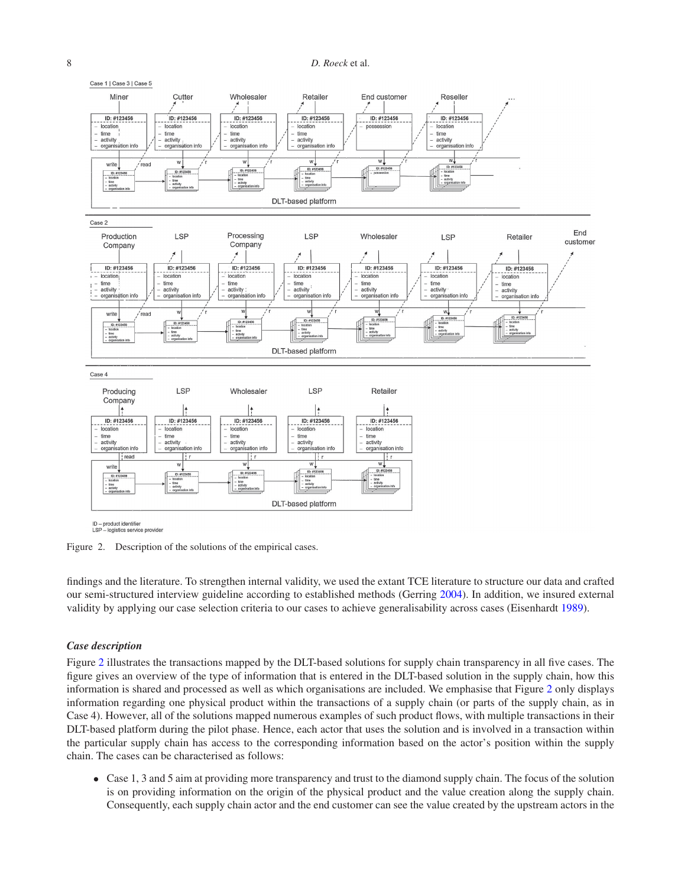

<span id="page-7-0"></span>ID - product identifier<br>LSP - logistics service provider

Figure 2. Description of the solutions of the empirical cases.

findings and the literature. To strengthen internal validity, we used the extant TCE literature to structure our data and crafted our semi-structured interview guideline according to established methods (Gerring [2004\)](#page-15-28). In addition, we insured external validity by applying our case selection criteria to our cases to achieve generalisability across cases (Eisenhardt [1989\)](#page-15-27).

## *Case description*

Figure [2](#page-7-0) illustrates the transactions mapped by the DLT-based solutions for supply chain transparency in all five cases. The figure gives an overview of the type of information that is entered in the DLT-based solution in the supply chain, how this information is shared and processed as well as which organisations are included. We emphasise that Figure [2](#page-7-0) only displays information regarding one physical product within the transactions of a supply chain (or parts of the supply chain, as in Case 4). However, all of the solutions mapped numerous examples of such product flows, with multiple transactions in their DLT-based platform during the pilot phase. Hence, each actor that uses the solution and is involved in a transaction within the particular supply chain has access to the corresponding information based on the actor's position within the supply chain. The cases can be characterised as follows:

• Case 1, 3 and 5 aim at providing more transparency and trust to the diamond supply chain. The focus of the solution is on providing information on the origin of the physical product and the value creation along the supply chain. Consequently, each supply chain actor and the end customer can see the value created by the upstream actors in the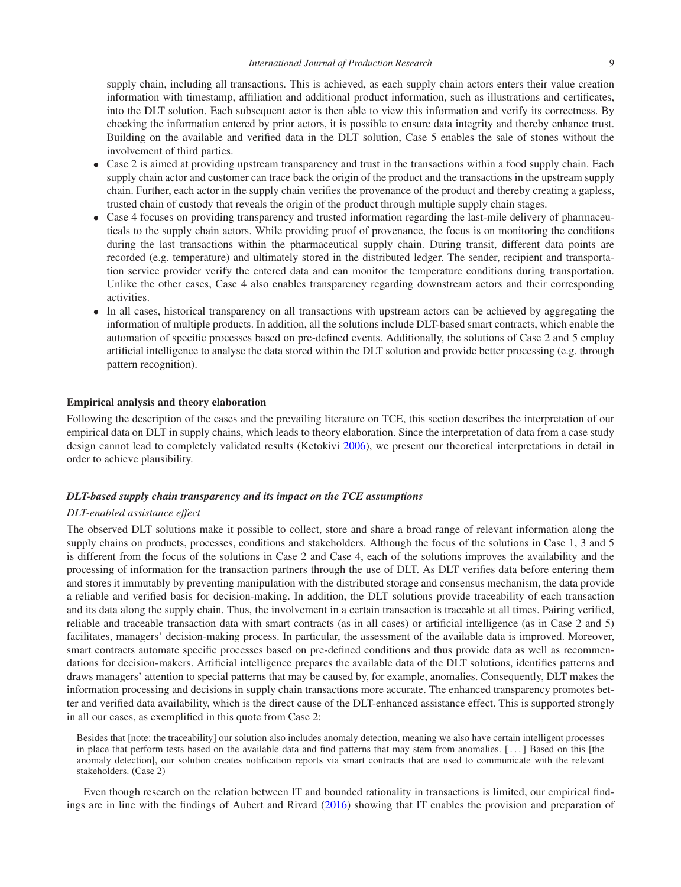supply chain, including all transactions. This is achieved, as each supply chain actors enters their value creation information with timestamp, affiliation and additional product information, such as illustrations and certificates, into the DLT solution. Each subsequent actor is then able to view this information and verify its correctness. By checking the information entered by prior actors, it is possible to ensure data integrity and thereby enhance trust. Building on the available and verified data in the DLT solution, Case 5 enables the sale of stones without the involvement of third parties.

- Case 2 is aimed at providing upstream transparency and trust in the transactions within a food supply chain. Each supply chain actor and customer can trace back the origin of the product and the transactions in the upstream supply chain. Further, each actor in the supply chain verifies the provenance of the product and thereby creating a gapless, trusted chain of custody that reveals the origin of the product through multiple supply chain stages.
- Case 4 focuses on providing transparency and trusted information regarding the last-mile delivery of pharmaceuticals to the supply chain actors. While providing proof of provenance, the focus is on monitoring the conditions during the last transactions within the pharmaceutical supply chain. During transit, different data points are recorded (e.g. temperature) and ultimately stored in the distributed ledger. The sender, recipient and transportation service provider verify the entered data and can monitor the temperature conditions during transportation. Unlike the other cases, Case 4 also enables transparency regarding downstream actors and their corresponding activities.
- In all cases, historical transparency on all transactions with upstream actors can be achieved by aggregating the information of multiple products. In addition, all the solutions include DLT-based smart contracts, which enable the automation of specific processes based on pre-defined events. Additionally, the solutions of Case 2 and 5 employ artificial intelligence to analyse the data stored within the DLT solution and provide better processing (e.g. through pattern recognition).

## **Empirical analysis and theory elaboration**

Following the description of the cases and the prevailing literature on TCE, this section describes the interpretation of our empirical data on DLT in supply chains, which leads to theory elaboration. Since the interpretation of data from a case study design cannot lead to completely validated results (Ketokivi [2006\)](#page-15-29), we present our theoretical interpretations in detail in order to achieve plausibility.

## *DLT-based supply chain transparency and its impact on the TCE assumptions*

## *DLT-enabled assistance effect*

The observed DLT solutions make it possible to collect, store and share a broad range of relevant information along the supply chains on products, processes, conditions and stakeholders. Although the focus of the solutions in Case 1, 3 and 5 is different from the focus of the solutions in Case 2 and Case 4, each of the solutions improves the availability and the processing of information for the transaction partners through the use of DLT. As DLT verifies data before entering them and stores it immutably by preventing manipulation with the distributed storage and consensus mechanism, the data provide a reliable and verified basis for decision-making. In addition, the DLT solutions provide traceability of each transaction and its data along the supply chain. Thus, the involvement in a certain transaction is traceable at all times. Pairing verified, reliable and traceable transaction data with smart contracts (as in all cases) or artificial intelligence (as in Case 2 and 5) facilitates, managers' decision-making process. In particular, the assessment of the available data is improved. Moreover, smart contracts automate specific processes based on pre-defined conditions and thus provide data as well as recommendations for decision-makers. Artificial intelligence prepares the available data of the DLT solutions, identifies patterns and draws managers' attention to special patterns that may be caused by, for example, anomalies. Consequently, DLT makes the information processing and decisions in supply chain transactions more accurate. The enhanced transparency promotes better and verified data availability, which is the direct cause of the DLT-enhanced assistance effect. This is supported strongly in all our cases, as exemplified in this quote from Case 2:

Besides that [note: the traceability] our solution also includes anomaly detection, meaning we also have certain intelligent processes in place that perform tests based on the available data and find patterns that may stem from anomalies. [ *...* ] Based on this [the anomaly detection], our solution creates notification reports via smart contracts that are used to communicate with the relevant stakeholders. (Case 2)

Even though research on the relation between IT and bounded rationality in transactions is limited, our empirical findings are in line with the findings of Aubert and Rivard [\(2016\)](#page-14-3) showing that IT enables the provision and preparation of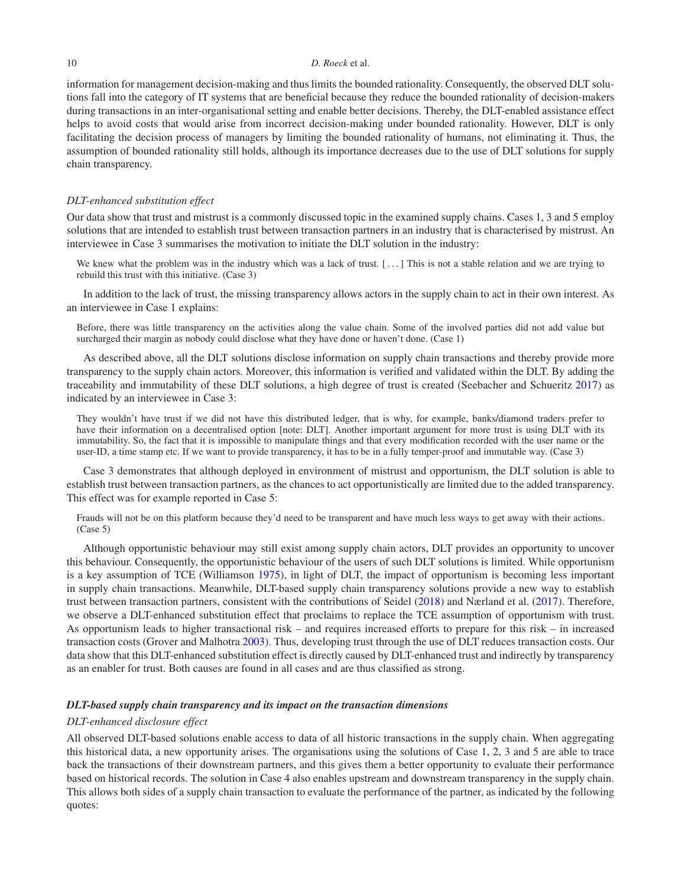information for management decision-making and thus limits the bounded rationality. Consequently, the observed DLT solutions fall into the category of IT systems that are beneficial because they reduce the bounded rationality of decision-makers during transactions in an inter-organisational setting and enable better decisions. Thereby, the DLT-enabled assistance effect helps to avoid costs that would arise from incorrect decision-making under bounded rationality. However, DLT is only facilitating the decision process of managers by limiting the bounded rationality of humans, not eliminating it. Thus, the assumption of bounded rationality still holds, although its importance decreases due to the use of DLT solutions for supply chain transparency.

### *DLT-enhanced substitution effect*

Our data show that trust and mistrust is a commonly discussed topic in the examined supply chains. Cases 1, 3 and 5 employ solutions that are intended to establish trust between transaction partners in an industry that is characterised by mistrust. An interviewee in Case 3 summarises the motivation to initiate the DLT solution in the industry:

We knew what the problem was in the industry which was a lack of trust. [...] This is not a stable relation and we are trying to rebuild this trust with this initiative. (Case 3)

In addition to the lack of trust, the missing transparency allows actors in the supply chain to act in their own interest. As an interviewee in Case 1 explains:

Before, there was little transparency on the activities along the value chain. Some of the involved parties did not add value but surcharged their margin as nobody could disclose what they have done or haven't done. (Case 1)

As described above, all the DLT solutions disclose information on supply chain transactions and thereby provide more transparency to the supply chain actors. Moreover, this information is verified and validated within the DLT. By adding the traceability and immutability of these DLT solutions, a high degree of trust is created (Seebacher and Schueritz [2017\)](#page-16-30) as indicated by an interviewee in Case 3:

They wouldn't have trust if we did not have this distributed ledger, that is why, for example, banks/diamond traders prefer to have their information on a decentralised option [note: DLT]. Another important argument for more trust is using DLT with its immutability. So, the fact that it is impossible to manipulate things and that every modification recorded with the user name or the user-ID, a time stamp etc. If we want to provide transparency, it has to be in a fully temper-proof and immutable way. (Case 3)

Case 3 demonstrates that although deployed in environment of mistrust and opportunism, the DLT solution is able to establish trust between transaction partners, as the chances to act opportunistically are limited due to the added transparency. This effect was for example reported in Case 5:

Frauds will not be on this platform because they'd need to be transparent and have much less ways to get away with their actions. (Case 5)

Although opportunistic behaviour may still exist among supply chain actors, DLT provides an opportunity to uncover this behaviour. Consequently, the opportunistic behaviour of the users of such DLT solutions is limited. While opportunism is a key assumption of TCE (Williamson [1975\)](#page-16-21), in light of DLT, the impact of opportunism is becoming less important in supply chain transactions. Meanwhile, DLT-based supply chain transparency solutions provide a new way to establish trust between transaction partners, consistent with the contributions of Seidel [\(2018\)](#page-16-17) and Nærland et al. [\(2017\)](#page-16-27). Therefore, we observe a DLT-enhanced substitution effect that proclaims to replace the TCE assumption of opportunism with trust. As opportunism leads to higher transactional risk – and requires increased efforts to prepare for this risk – in increased transaction costs (Grover and Malhotra [2003\)](#page-15-16). Thus, developing trust through the use of DLT reduces transaction costs. Our data show that this DLT-enhanced substitution effect is directly caused by DLT-enhanced trust and indirectly by transparency as an enabler for trust. Both causes are found in all cases and are thus classified as strong.

## *DLT-based supply chain transparency and its impact on the transaction dimensions*

#### *DLT-enhanced disclosure effect*

All observed DLT-based solutions enable access to data of all historic transactions in the supply chain. When aggregating this historical data, a new opportunity arises. The organisations using the solutions of Case 1, 2, 3 and 5 are able to trace back the transactions of their downstream partners, and this gives them a better opportunity to evaluate their performance based on historical records. The solution in Case 4 also enables upstream and downstream transparency in the supply chain. This allows both sides of a supply chain transaction to evaluate the performance of the partner, as indicated by the following quotes: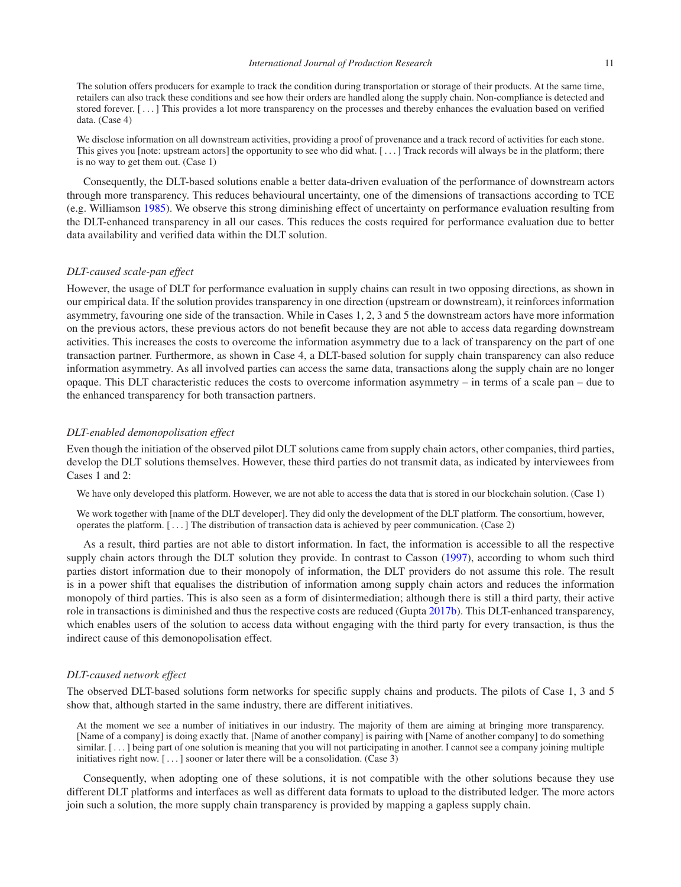The solution offers producers for example to track the condition during transportation or storage of their products. At the same time, retailers can also track these conditions and see how their orders are handled along the supply chain. Non-compliance is detected and stored forever. [ *...* ] This provides a lot more transparency on the processes and thereby enhances the evaluation based on verified data. (Case 4)

We disclose information on all downstream activities, providing a proof of provenance and a track record of activities for each stone. This gives you [note: upstream actors] the opportunity to see who did what. [*...* ] Track records will always be in the platform; there is no way to get them out. (Case 1)

Consequently, the DLT-based solutions enable a better data-driven evaluation of the performance of downstream actors through more transparency. This reduces behavioural uncertainty, one of the dimensions of transactions according to TCE (e.g. Williamson [1985\)](#page-16-22). We observe this strong diminishing effect of uncertainty on performance evaluation resulting from the DLT-enhanced transparency in all our cases. This reduces the costs required for performance evaluation due to better data availability and verified data within the DLT solution.

## *DLT-caused scale-pan effect*

However, the usage of DLT for performance evaluation in supply chains can result in two opposing directions, as shown in our empirical data. If the solution provides transparency in one direction (upstream or downstream), it reinforces information asymmetry, favouring one side of the transaction. While in Cases 1, 2, 3 and 5 the downstream actors have more information on the previous actors, these previous actors do not benefit because they are not able to access data regarding downstream activities. This increases the costs to overcome the information asymmetry due to a lack of transparency on the part of one transaction partner. Furthermore, as shown in Case 4, a DLT-based solution for supply chain transparency can also reduce information asymmetry. As all involved parties can access the same data, transactions along the supply chain are no longer opaque. This DLT characteristic reduces the costs to overcome information asymmetry – in terms of a scale pan – due to the enhanced transparency for both transaction partners.

## *DLT-enabled demonopolisation effect*

Even though the initiation of the observed pilot DLT solutions came from supply chain actors, other companies, third parties, develop the DLT solutions themselves. However, these third parties do not transmit data, as indicated by interviewees from Cases 1 and 2:

We have only developed this platform. However, we are not able to access the data that is stored in our blockchain solution. (Case 1)

We work together with [name of the DLT developer]. They did only the development of the DLT platform. The consortium, however, operates the platform. [ *...* ] The distribution of transaction data is achieved by peer communication. (Case 2)

As a result, third parties are not able to distort information. In fact, the information is accessible to all the respective supply chain actors through the DLT solution they provide. In contrast to Casson [\(1997\)](#page-15-20), according to whom such third parties distort information due to their monopoly of information, the DLT providers do not assume this role. The result is in a power shift that equalises the distribution of information among supply chain actors and reduces the information monopoly of third parties. This is also seen as a form of disintermediation; although there is still a third party, their active role in transactions is diminished and thus the respective costs are reduced (Gupta [2017b\)](#page-15-5). This DLT-enhanced transparency, which enables users of the solution to access data without engaging with the third party for every transaction, is thus the indirect cause of this demonopolisation effect.

#### *DLT-caused network effect*

The observed DLT-based solutions form networks for specific supply chains and products. The pilots of Case 1, 3 and 5 show that, although started in the same industry, there are different initiatives.

At the moment we see a number of initiatives in our industry. The majority of them are aiming at bringing more transparency. [Name of a company] is doing exactly that. [Name of another company] is pairing with [Name of another company] to do something similar. [ *...* ] being part of one solution is meaning that you will not participating in another. I cannot see a company joining multiple initiatives right now. [ *...* ] sooner or later there will be a consolidation. (Case 3)

Consequently, when adopting one of these solutions, it is not compatible with the other solutions because they use different DLT platforms and interfaces as well as different data formats to upload to the distributed ledger. The more actors join such a solution, the more supply chain transparency is provided by mapping a gapless supply chain.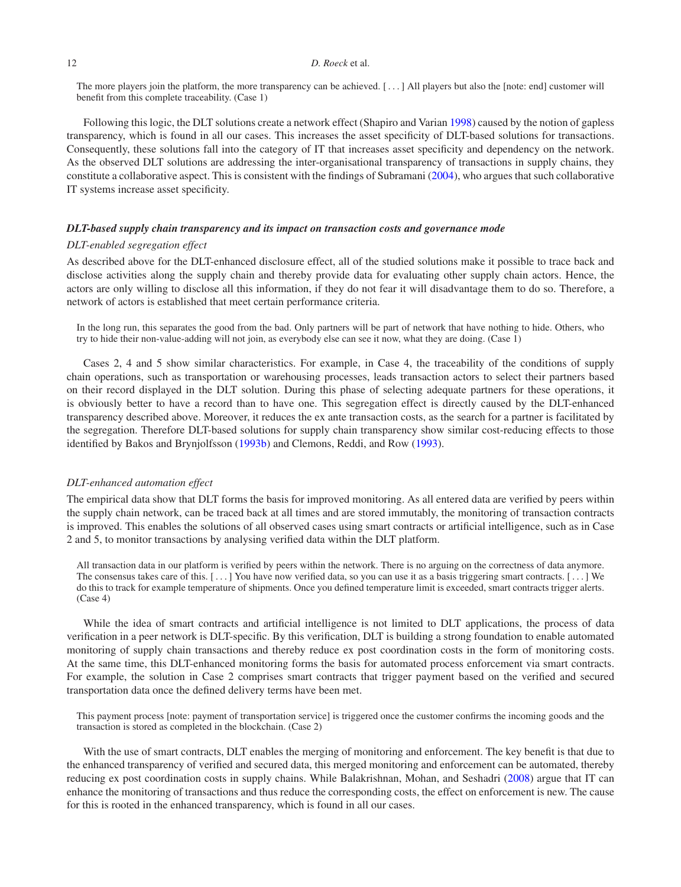The more players join the platform, the more transparency can be achieved. [ *...* ] All players but also the [note: end] customer will benefit from this complete traceability. (Case 1)

Following this logic, the DLT solutions create a network effect (Shapiro and Varian [1998\)](#page-16-31) caused by the notion of gapless transparency, which is found in all our cases. This increases the asset specificity of DLT-based solutions for transactions. Consequently, these solutions fall into the category of IT that increases asset specificity and dependency on the network. As the observed DLT solutions are addressing the inter-organisational transparency of transactions in supply chains, they constitute a collaborative aspect. This is consistent with the findings of Subramani [\(2004\)](#page-16-25), who argues that such collaborative IT systems increase asset specificity.

## *DLT-based supply chain transparency and its impact on transaction costs and governance mode*

#### *DLT-enabled segregation effect*

As described above for the DLT-enhanced disclosure effect, all of the studied solutions make it possible to trace back and disclose activities along the supply chain and thereby provide data for evaluating other supply chain actors. Hence, the actors are only willing to disclose all this information, if they do not fear it will disadvantage them to do so. Therefore, a network of actors is established that meet certain performance criteria.

In the long run, this separates the good from the bad. Only partners will be part of network that have nothing to hide. Others, who try to hide their non-value-adding will not join, as everybody else can see it now, what they are doing. (Case 1)

Cases 2, 4 and 5 show similar characteristics. For example, in Case 4, the traceability of the conditions of supply chain operations, such as transportation or warehousing processes, leads transaction actors to select their partners based on their record displayed in the DLT solution. During this phase of selecting adequate partners for these operations, it is obviously better to have a record than to have one. This segregation effect is directly caused by the DLT-enhanced transparency described above. Moreover, it reduces the ex ante transaction costs, as the search for a partner is facilitated by the segregation. Therefore DLT-based solutions for supply chain transparency show similar cost-reducing effects to those identified by Bakos and Brynjolfsson [\(1993b\)](#page-14-7) and Clemons, Reddi, and Row [\(1993\)](#page-15-18).

# *DLT-enhanced automation effect*

The empirical data show that DLT forms the basis for improved monitoring. As all entered data are verified by peers within the supply chain network, can be traced back at all times and are stored immutably, the monitoring of transaction contracts is improved. This enables the solutions of all observed cases using smart contracts or artificial intelligence, such as in Case 2 and 5, to monitor transactions by analysing verified data within the DLT platform.

All transaction data in our platform is verified by peers within the network. There is no arguing on the correctness of data anymore. The consensus takes care of this. [*...* ] You have now verified data, so you can use it as a basis triggering smart contracts. [*...* ] We do this to track for example temperature of shipments. Once you defined temperature limit is exceeded, smart contracts trigger alerts. (Case 4)

While the idea of smart contracts and artificial intelligence is not limited to DLT applications, the process of data verification in a peer network is DLT-specific. By this verification, DLT is building a strong foundation to enable automated monitoring of supply chain transactions and thereby reduce ex post coordination costs in the form of monitoring costs. At the same time, this DLT-enhanced monitoring forms the basis for automated process enforcement via smart contracts. For example, the solution in Case 2 comprises smart contracts that trigger payment based on the verified and secured transportation data once the defined delivery terms have been met.

This payment process [note: payment of transportation service] is triggered once the customer confirms the incoming goods and the transaction is stored as completed in the blockchain. (Case 2)

With the use of smart contracts, DLT enables the merging of monitoring and enforcement. The key benefit is that due to the enhanced transparency of verified and secured data, this merged monitoring and enforcement can be automated, thereby reducing ex post coordination costs in supply chains. While Balakrishnan, Mohan, and Seshadri [\(2008\)](#page-14-6) argue that IT can enhance the monitoring of transactions and thus reduce the corresponding costs, the effect on enforcement is new. The cause for this is rooted in the enhanced transparency, which is found in all our cases.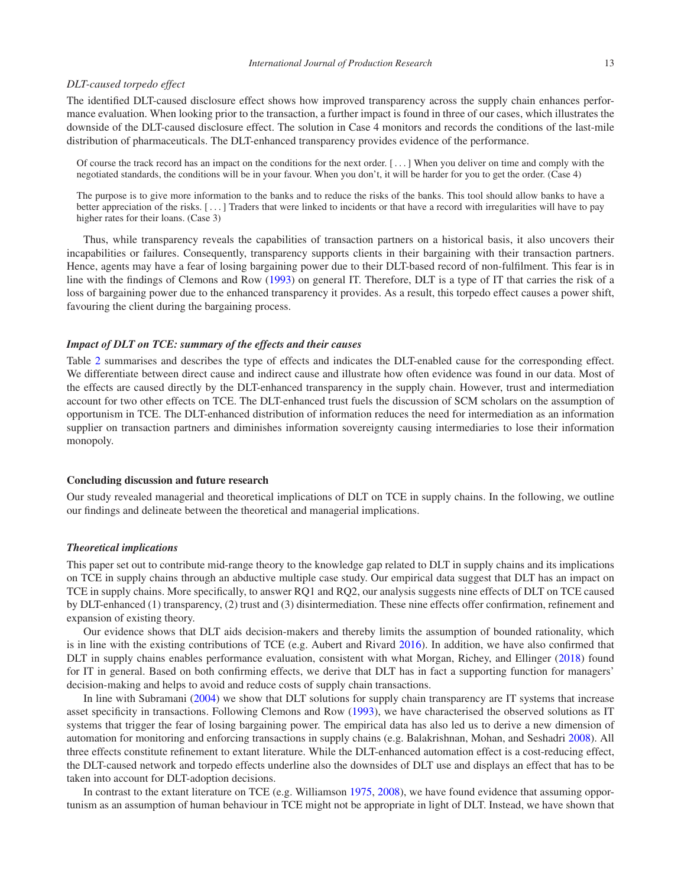#### *DLT-caused torpedo effect*

The identified DLT-caused disclosure effect shows how improved transparency across the supply chain enhances performance evaluation. When looking prior to the transaction, a further impact is found in three of our cases, which illustrates the downside of the DLT-caused disclosure effect. The solution in Case 4 monitors and records the conditions of the last-mile distribution of pharmaceuticals. The DLT-enhanced transparency provides evidence of the performance.

Of course the track record has an impact on the conditions for the next order. [ *...* ] When you deliver on time and comply with the negotiated standards, the conditions will be in your favour. When you don't, it will be harder for you to get the order. (Case 4)

The purpose is to give more information to the banks and to reduce the risks of the banks. This tool should allow banks to have a better appreciation of the risks. [*...* ] Traders that were linked to incidents or that have a record with irregularities will have to pay higher rates for their loans. (Case 3)

Thus, while transparency reveals the capabilities of transaction partners on a historical basis, it also uncovers their incapabilities or failures. Consequently, transparency supports clients in their bargaining with their transaction partners. Hence, agents may have a fear of losing bargaining power due to their DLT-based record of non-fulfilment. This fear is in line with the findings of Clemons and Row [\(1993\)](#page-15-22) on general IT. Therefore, DLT is a type of IT that carries the risk of a loss of bargaining power due to the enhanced transparency it provides. As a result, this torpedo effect causes a power shift, favouring the client during the bargaining process.

## *Impact of DLT on TCE: summary of the effects and their causes*

Table [2](#page-13-0) summarises and describes the type of effects and indicates the DLT-enabled cause for the corresponding effect. We differentiate between direct cause and indirect cause and illustrate how often evidence was found in our data. Most of the effects are caused directly by the DLT-enhanced transparency in the supply chain. However, trust and intermediation account for two other effects on TCE. The DLT-enhanced trust fuels the discussion of SCM scholars on the assumption of opportunism in TCE. The DLT-enhanced distribution of information reduces the need for intermediation as an information supplier on transaction partners and diminishes information sovereignty causing intermediaries to lose their information monopoly.

## **Concluding discussion and future research**

Our study revealed managerial and theoretical implications of DLT on TCE in supply chains. In the following, we outline our findings and delineate between the theoretical and managerial implications.

#### *Theoretical implications*

This paper set out to contribute mid-range theory to the knowledge gap related to DLT in supply chains and its implications on TCE in supply chains through an abductive multiple case study. Our empirical data suggest that DLT has an impact on TCE in supply chains. More specifically, to answer RQ1 and RQ2, our analysis suggests nine effects of DLT on TCE caused by DLT-enhanced (1) transparency, (2) trust and (3) disintermediation. These nine effects offer confirmation, refinement and expansion of existing theory.

Our evidence shows that DLT aids decision-makers and thereby limits the assumption of bounded rationality, which is in line with the existing contributions of TCE (e.g. Aubert and Rivard [2016\)](#page-14-3). In addition, we have also confirmed that DLT in supply chains enables performance evaluation, consistent with what Morgan, Richey, and Ellinger [\(2018\)](#page-16-15) found for IT in general. Based on both confirming effects, we derive that DLT has in fact a supporting function for managers' decision-making and helps to avoid and reduce costs of supply chain transactions.

In line with Subramani [\(2004\)](#page-16-25) we show that DLT solutions for supply chain transparency are IT systems that increase asset specificity in transactions. Following Clemons and Row [\(1993\)](#page-15-22), we have characterised the observed solutions as IT systems that trigger the fear of losing bargaining power. The empirical data has also led us to derive a new dimension of automation for monitoring and enforcing transactions in supply chains (e.g. Balakrishnan, Mohan, and Seshadri [2008\)](#page-14-6). All three effects constitute refinement to extant literature. While the DLT-enhanced automation effect is a cost-reducing effect, the DLT-caused network and torpedo effects underline also the downsides of DLT use and displays an effect that has to be taken into account for DLT-adoption decisions.

In contrast to the extant literature on TCE (e.g. Williamson [1975,](#page-16-21) [2008\)](#page-16-10), we have found evidence that assuming opportunism as an assumption of human behaviour in TCE might not be appropriate in light of DLT. Instead, we have shown that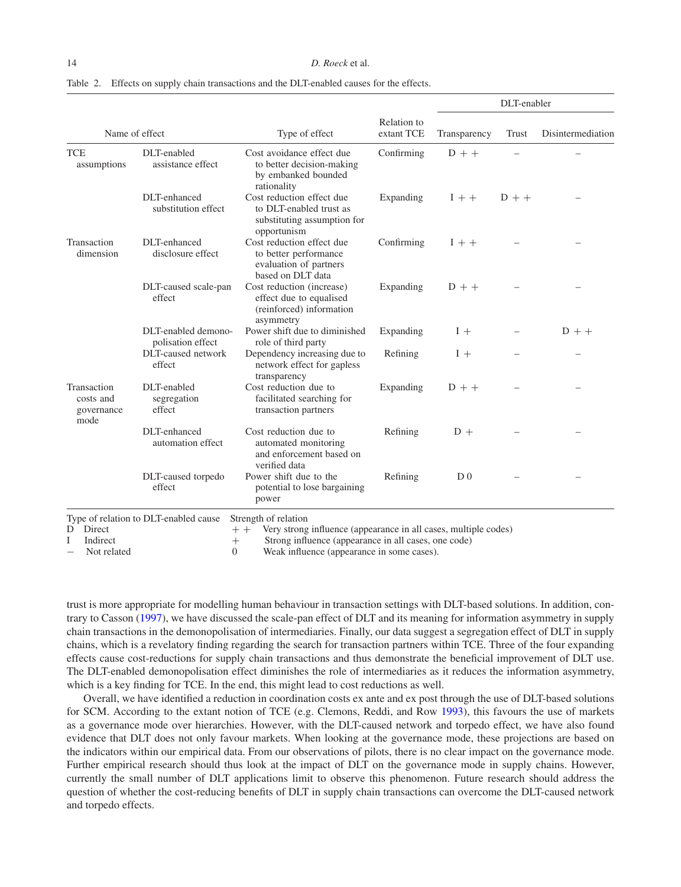<span id="page-13-0"></span>

|  | Table 2. Effects on supply chain transactions and the DLT-enabled causes for the effects. |  |  |  |  |
|--|-------------------------------------------------------------------------------------------|--|--|--|--|
|--|-------------------------------------------------------------------------------------------|--|--|--|--|

|                                                |                                          |                                                                                                    |                           | DLT-enabler    |         |                   |
|------------------------------------------------|------------------------------------------|----------------------------------------------------------------------------------------------------|---------------------------|----------------|---------|-------------------|
| Name of effect                                 |                                          | Type of effect                                                                                     | Relation to<br>extant TCE | Transparency   | Trust   | Disintermediation |
| <b>TCE</b><br>assumptions                      | DLT-enabled<br>assistance effect         | Cost avoidance effect due<br>to better decision-making<br>by embanked bounded<br>rationality       | Confirming                | $D + +$        |         |                   |
|                                                | DLT-enhanced<br>substitution effect      | Cost reduction effect due<br>to DLT-enabled trust as<br>substituting assumption for<br>opportunism | Expanding                 | $I + +$        | $D + +$ |                   |
| Transaction<br>dimension                       | DLT-enhanced<br>disclosure effect        | Cost reduction effect due<br>to better performance<br>evaluation of partners<br>based on DLT data  | Confirming                | $1 + +$        |         |                   |
|                                                | DLT-caused scale-pan<br>effect           | Cost reduction (increase)<br>effect due to equalised<br>(reinforced) information<br>asymmetry      | Expanding                 | $D + +$        |         |                   |
|                                                | DLT-enabled demono-<br>polisation effect | Power shift due to diminished<br>role of third party                                               | Expanding                 | $1 +$          |         | $D + +$           |
|                                                | DLT-caused network<br>effect             | Dependency increasing due to<br>network effect for gapless<br>transparency                         | Refining                  | $I +$          |         |                   |
| Transaction<br>costs and<br>governance<br>mode | DLT-enabled<br>segregation<br>effect     | Cost reduction due to<br>facilitated searching for<br>transaction partners                         | Expanding                 | $D + +$        |         |                   |
|                                                | DLT-enhanced<br>automation effect        | Cost reduction due to<br>automated monitoring<br>and enforcement based on<br>verified data         | Refining                  | $D +$          |         |                   |
|                                                | DLT-caused torpedo<br>effect             | Power shift due to the<br>potential to lose bargaining<br>power                                    | Refining                  | D <sub>0</sub> |         |                   |

− Not related 0 Weak influence (appearance in some cases).

trust is more appropriate for modelling human behaviour in transaction settings with DLT-based solutions. In addition, contrary to Casson [\(1997\)](#page-15-20), we have discussed the scale-pan effect of DLT and its meaning for information asymmetry in supply chain transactions in the demonopolisation of intermediaries. Finally, our data suggest a segregation effect of DLT in supply chains, which is a revelatory finding regarding the search for transaction partners within TCE. Three of the four expanding effects cause cost-reductions for supply chain transactions and thus demonstrate the beneficial improvement of DLT use. The DLT-enabled demonopolisation effect diminishes the role of intermediaries as it reduces the information asymmetry, which is a key finding for TCE. In the end, this might lead to cost reductions as well.

Overall, we have identified a reduction in coordination costs ex ante and ex post through the use of DLT-based solutions for SCM. According to the extant notion of TCE (e.g. Clemons, Reddi, and Row [1993\)](#page-15-18), this favours the use of markets as a governance mode over hierarchies. However, with the DLT-caused network and torpedo effect, we have also found evidence that DLT does not only favour markets. When looking at the governance mode, these projections are based on the indicators within our empirical data. From our observations of pilots, there is no clear impact on the governance mode. Further empirical research should thus look at the impact of DLT on the governance mode in supply chains. However, currently the small number of DLT applications limit to observe this phenomenon. Future research should address the question of whether the cost-reducing benefits of DLT in supply chain transactions can overcome the DLT-caused network and torpedo effects.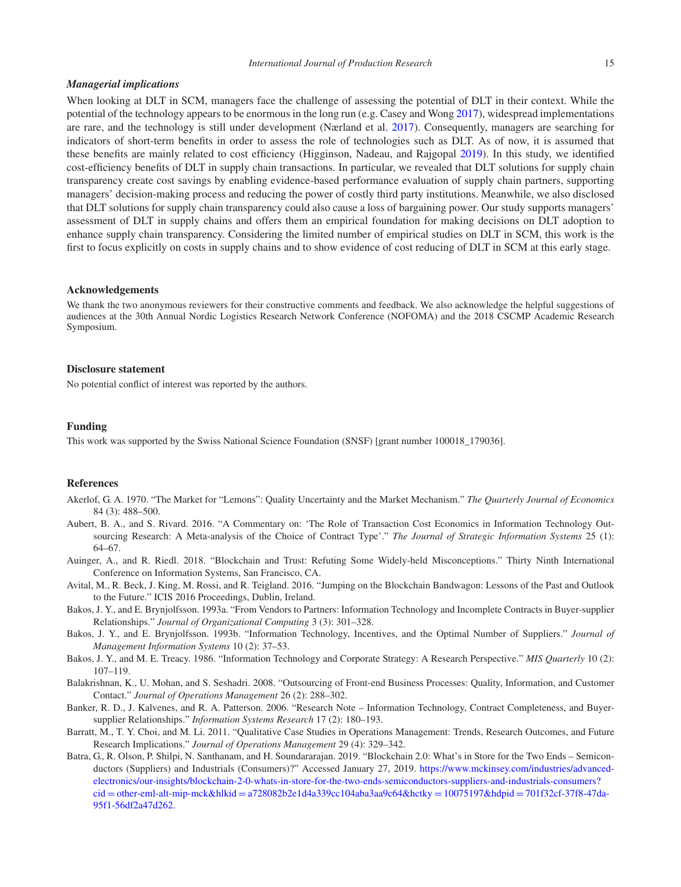#### *International Journal of Production Research* 15

#### *Managerial implications*

When looking at DLT in SCM, managers face the challenge of assessing the potential of DLT in their context. While the potential of the technology appears to be enormous in the long run (e.g. Casey and Wong [2017\)](#page-15-7), widespread implementations are rare, and the technology is still under development (Nærland et al. [2017\)](#page-16-27). Consequently, managers are searching for indicators of short-term benefits in order to assess the role of technologies such as DLT. As of now, it is assumed that these benefits are mainly related to cost efficiency (Higginson, Nadeau, and Rajgopal [2019\)](#page-15-2). In this study, we identified cost-efficiency benefits of DLT in supply chain transactions. In particular, we revealed that DLT solutions for supply chain transparency create cost savings by enabling evidence-based performance evaluation of supply chain partners, supporting managers' decision-making process and reducing the power of costly third party institutions. Meanwhile, we also disclosed that DLT solutions for supply chain transparency could also cause a loss of bargaining power. Our study supports managers' assessment of DLT in supply chains and offers them an empirical foundation for making decisions on DLT adoption to enhance supply chain transparency. Considering the limited number of empirical studies on DLT in SCM, this work is the first to focus explicitly on costs in supply chains and to show evidence of cost reducing of DLT in SCM at this early stage.

#### **Acknowledgements**

We thank the two anonymous reviewers for their constructive comments and feedback. We also acknowledge the helpful suggestions of audiences at the 30th Annual Nordic Logistics Research Network Conference (NOFOMA) and the 2018 CSCMP Academic Research Symposium.

## **Disclosure statement**

No potential conflict of interest was reported by the authors.

## **Funding**

This work was supported by the Swiss National Science Foundation (SNSF) [grant number 100018\_179036].

## **References**

- <span id="page-14-4"></span>Akerlof, G. A. 1970. "The Market for "Lemons": Quality Uncertainty and the Market Mechanism." *The Quarterly Journal of Economics* 84 (3): 488–500.
- <span id="page-14-3"></span>Aubert, B. A., and S. Rivard. 2016. "A Commentary on: 'The Role of Transaction Cost Economics in Information Technology Outsourcing Research: A Meta-analysis of the Choice of Contract Type'." *The Journal of Strategic Information Systems* 25 (1): 64–67.
- <span id="page-14-1"></span>Auinger, A., and R. Riedl. 2018. "Blockchain and Trust: Refuting Some Widely-held Misconceptions." Thirty Ninth International Conference on Information Systems, San Francisco, CA.
- <span id="page-14-2"></span>Avital, M., R. Beck, J. King, M. Rossi, and R. Teigland. 2016. "Jumping on the Blockchain Bandwagon: Lessons of the Past and Outlook to the Future." ICIS 2016 Proceedings, Dublin, Ireland.
- <span id="page-14-9"></span>Bakos, J. Y., and E. Brynjolfsson. 1993a. "From Vendors to Partners: Information Technology and Incomplete Contracts in Buyer-supplier Relationships." *Journal of Organizational Computing* 3 (3): 301–328.
- <span id="page-14-7"></span>Bakos, J. Y., and E. Brynjolfsson. 1993b. "Information Technology, Incentives, and the Optimal Number of Suppliers." *Journal of Management Information Systems* 10 (2): 37–53.
- <span id="page-14-5"></span>Bakos, J. Y., and M. E. Treacy. 1986. "Information Technology and Corporate Strategy: A Research Perspective." *MIS Quarterly* 10 (2): 107–119.
- <span id="page-14-6"></span>Balakrishnan, K., U. Mohan, and S. Seshadri. 2008. "Outsourcing of Front-end Business Processes: Quality, Information, and Customer Contact." *Journal of Operations Management* 26 (2): 288–302.
- <span id="page-14-8"></span>Banker, R. D., J. Kalvenes, and R. A. Patterson. 2006. "Research Note – Information Technology, Contract Completeness, and Buyersupplier Relationships." *Information Systems Research* 17 (2): 180–193.
- <span id="page-14-10"></span>Barratt, M., T. Y. Choi, and M. Li. 2011. "Qualitative Case Studies in Operations Management: Trends, Research Outcomes, and Future Research Implications." *Journal of Operations Management* 29 (4): 329–342.
- <span id="page-14-0"></span>Batra, G., R. Olson, P. Shilpi, N. Santhanam, and H. Soundararajan. 2019. "Blockchain 2.0: What's in Store for the Two Ends – Semiconductors (Suppliers) and Industrials (Consumers)?" Accessed January 27, 2019. https://www.mckinsey.com/industries/advancedelectronics/our-insi[ghts/blockchain-2-0-whats-in-store-for-the-two-ends-semicond](https://www.mckinsey.com/industries/advanced-electronics/our-insights/blockchain-2-0-whats-in-store-for-the-two-ends-semiconductors-suppliers-and-industrials-consumers?cid=other-eml-alt-mip-mck{%}26hlkid=a728082b2e1d4a339cc104aba3aa9c64{%}26hctky=10075197{%}26hdpid=701f32cf-37f8-47da-95f1-56df2a47d262)uctors-suppliers-and-industrials-consumers? cid = other-eml-alt-mip-mck&hlkid = a728082b2e1d4a339cc104aba3aa9c64&hctky = 10075197&hdpid = 701f32cf-37f8-47da-95f1-56df2a47d262.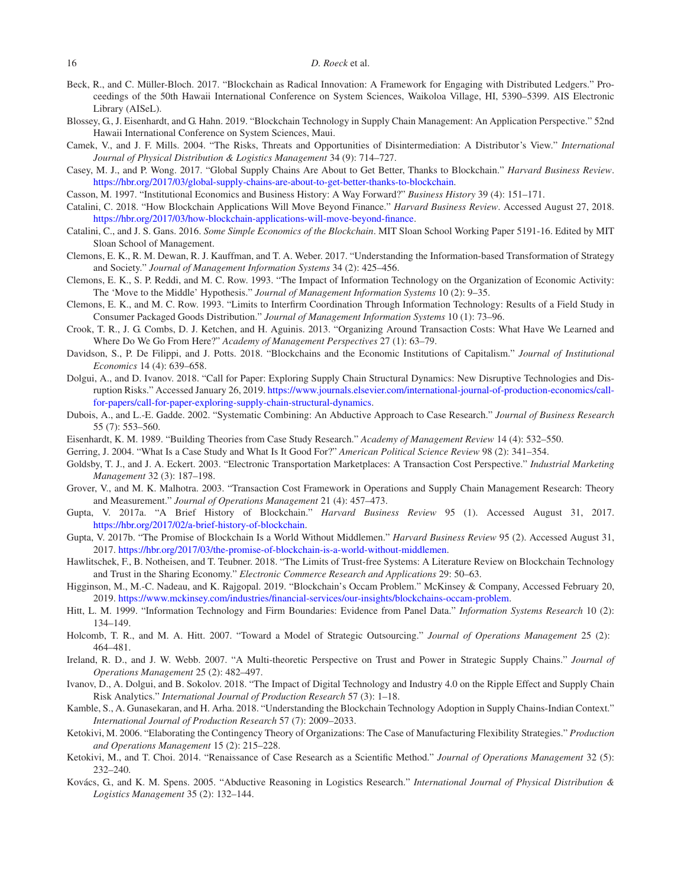- <span id="page-15-6"></span>Beck, R., and C. Müller-Bloch. 2017. "Blockchain as Radical Innovation: A Framework for Engaging with Distributed Ledgers." Proceedings of the 50th Hawaii International Conference on System Sciences, Waikoloa Village, HI, 5390–5399. AIS Electronic Library (AISeL).
- <span id="page-15-1"></span>Blossey, G., J. Eisenhardt, and G. Hahn. 2019. "Blockchain Technology in Supply Chain Management: An Application Perspective." 52nd Hawaii International Conference on System Sciences, Maui.
- <span id="page-15-13"></span>Camek, V., and J. F. Mills. 2004. "The Risks, Threats and Opportunities of Disintermediation: A Distributor's View." *International Journal of Physical Distribution & Logistics Management* 34 (9): 714–727.
- <span id="page-15-7"></span>Casey, M. J., and P. Wong. 2017. "Global Supply Chains Are About to Get Better, Thanks to Blockchain." *Harvard Business Review*. [https://hbr.org/2017/03/global-supply-chains-are-about-to-get-better-thanks-to-blockchain.](https://hbr.org/2017/03/global-supply-chains-are-about-to-get-better-thanks-to-blockchain)
- <span id="page-15-20"></span>Casson, M. 1997. "Institutional Economics and Business History: A Way Forward?" *Business History* 39 (4): 151–171.
- <span id="page-15-11"></span>Catalini, C. 2018. "How Blockchain Applications Will Move Beyond Finance." *Harvard Business Review*. Accessed August 27, 2018. [https://hbr.org/2017/03/how-blockchain-applications-will-move-beyond-finance.](https://hbr.org/2017/03/how-blockchain-applications-will-move-beyond-finance)
- <span id="page-15-8"></span>Catalini, C., and J. S. Gans. 2016. *Some Simple Economics of the Blockchain*. MIT Sloan School Working Paper 5191-16. Edited by MIT Sloan School of Management.
- <span id="page-15-3"></span>Clemons, E. K., R. M. Dewan, R. J. Kauffman, and T. A. Weber. 2017. "Understanding the Information-based Transformation of Strategy and Society." *Journal of Management Information Systems* 34 (2): 425–456.
- <span id="page-15-18"></span>Clemons, E. K., S. P. Reddi, and M. C. Row. 1993. "The Impact of Information Technology on the Organization of Economic Activity: The 'Move to the Middle' Hypothesis." *Journal of Management Information Systems* 10 (2): 9–35.
- <span id="page-15-22"></span>Clemons, E. K., and M. C. Row. 1993. "Limits to Interfirm Coordination Through Information Technology: Results of a Field Study in Consumer Packaged Goods Distribution." *Journal of Management Information Systems* 10 (1): 73–96.
- <span id="page-15-17"></span>Crook, T. R., J. G. Combs, D. J. Ketchen, and H. Aguinis. 2013. "Organizing Around Transaction Costs: What Have We Learned and Where Do We Go From Here?" *Academy of Management Perspectives* 27 (1): 63–79.
- <span id="page-15-14"></span>Davidson, S., P. De Filippi, and J. Potts. 2018. "Blockchains and the Economic Institutions of Capitalism." *Journal of Institutional Economics* 14 (4): 639–658.
- <span id="page-15-4"></span>Dolgui, A., and D. Ivanov. 2018. "Call for Paper: Exploring Supply Chain Structural Dynamics: New Disruptive Technologies and Disruption Risks." Accessed January 26, 2019. https://www.journals.elsevier.com/international-journal-of-production-economics/callfor-papers/call-for-paper-exploring-supply-chain-structural-dynamics.
- <span id="page-15-24"></span>Dubois, A., and L.-E. Gadde. 2002. "Systematic Combining: An Abductive Approach to Case Research." *Journal of Business Research* 55 (7): 553–560.
- <span id="page-15-27"></span>Eisenhardt, K. M. 1989. "Building Theories from Case Study Research." *Academy of Management Review* 14 (4): 532–550.
- <span id="page-15-28"></span>Gerring, J. 2004. "What Is a Case Study and What Is It Good For?" *American Political Science Review* 98 (2): 341–354.
- <span id="page-15-15"></span>Goldsby, T. J., and J. A. Eckert. 2003. "Electronic Transportation Marketplaces: A Transaction Cost Perspective." *Industrial Marketing Management* 32 (3): 187–198.
- <span id="page-15-16"></span>Grover, V., and M. K. Malhotra. 2003. "Transaction Cost Framework in Operations and Supply Chain Management Research: Theory and Measurement." *Journal of Operations Management* 21 (4): 457–473.
- <span id="page-15-10"></span>Gupta, V. 2017a. "A Brief History of Blockchain." *Harvard Business Review* 95 (1). Accessed August 31, 2017. [https://hbr.org/2017/02/a-brief-history-of-blockchain.](https://hbr.org/2017/02/a-brief-history-of-blockchain)
- <span id="page-15-5"></span>Gupta, V. 2017b. "The Promise of Blockchain Is a World Without Middlemen." *Harvard Business Review* 95 (2). Accessed August 31, 2017. [https://hbr.org/2017/03/the-promise-of-blockchain-is-a-world-without-middlemen.](https://hbr.org/2017/03/the-promise-of-blockchain-is-a-world-without-middlemen)
- <span id="page-15-9"></span>Hawlitschek, F., B. Notheisen, and T. Teubner. 2018. "The Limits of Trust-free Systems: A Literature Review on Blockchain Technology and Trust in the Sharing Economy." *Electronic Commerce Research and Applications* 29: 50–63.
- <span id="page-15-2"></span>Higginson, M., M.-C. Nadeau, and K. Rajgopal. 2019. "Blockchain's Occam Problem." McKinsey & Company, Accessed February 20, 2019. [https://www.mckinsey.com/industries/financial-services/our-insights/blockchains-occam-problem.](https://www.mckinsey.com/industries/financial-services/our-insights/blockchains-occam-problem)
- <span id="page-15-21"></span>Hitt, L. M. 1999. "Information Technology and Firm Boundaries: Evidence from Panel Data." *Information Systems Research* 10 (2): 134–149.
- <span id="page-15-23"></span>Holcomb, T. R., and M. A. Hitt. 2007. "Toward a Model of Strategic Outsourcing." *Journal of Operations Management* 25 (2): 464–481.
- <span id="page-15-19"></span>Ireland, R. D., and J. W. Webb. 2007. "A Multi-theoretic Perspective on Trust and Power in Strategic Supply Chains." *Journal of Operations Management* 25 (2): 482–497.
- <span id="page-15-12"></span>Ivanov, D., A. Dolgui, and B. Sokolov. 2018. "The Impact of Digital Technology and Industry 4.0 on the Ripple Effect and Supply Chain Risk Analytics." *International Journal of Production Research* 57 (3): 1–18.
- <span id="page-15-0"></span>Kamble, S., A. Gunasekaran, and H. Arha. 2018. "Understanding the Blockchain Technology Adoption in Supply Chains-Indian Context." *International Journal of Production Research* 57 (7): 2009–2033.
- <span id="page-15-29"></span>Ketokivi, M. 2006. "Elaborating the Contingency Theory of Organizations: The Case of Manufacturing Flexibility Strategies." *Production and Operations Management* 15 (2): 215–228.
- <span id="page-15-26"></span>Ketokivi, M., and T. Choi. 2014. "Renaissance of Case Research as a Scientific Method." *Journal of Operations Management* 32 (5): 232–240.
- <span id="page-15-25"></span>Kovács, G., and K. M. Spens. 2005. "Abductive Reasoning in Logistics Research." *International Journal of Physical Distribution & Logistics Management* 35 (2): 132–144.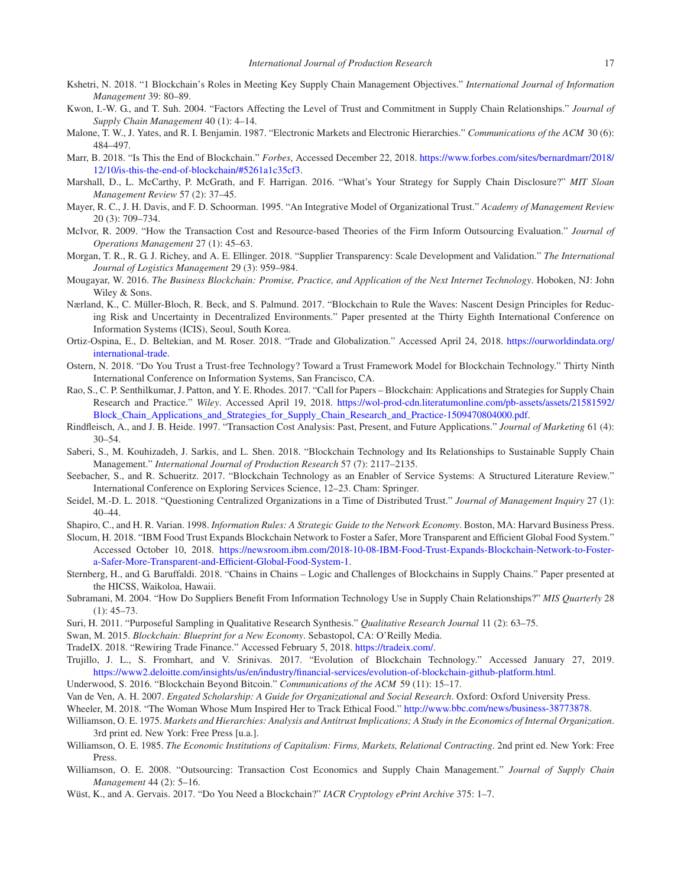- <span id="page-16-0"></span>Kshetri, N. 2018. "1 Blockchain's Roles in Meeting Key Supply Chain Management Objectives." *International Journal of Information Management* 39: 80–89.
- <span id="page-16-24"></span>Kwon, I.-W. G., and T. Suh. 2004. "Factors Affecting the Level of Trust and Commitment in Supply Chain Relationships." *Journal of Supply Chain Management* 40 (1): 4–14.
- <span id="page-16-26"></span>Malone, T. W., J. Yates, and R. I. Benjamin. 1987. "Electronic Markets and Electronic Hierarchies." *Communications of the ACM* 30 (6): 484–497.
- <span id="page-16-13"></span>Marr, B. 2018. "Is This the End of Blockchain." *Forbes*, Accessed December 22, 2018. https://www.forbes.com/sites/bernardmarr/2018/ 12/10/is-this-the-end-of-blockchain/#5261a1c35cf3.
- <span id="page-16-5"></span>Marshall, D., L. McCarthy, P. McGrath, and F. Harrigan. 2016. "What's Your Strategy for Supply Chain Disclosure?" *MIT Sloan Management Review* 57 (2): 37–45.
- <span id="page-16-16"></span>Mayer, R. C., J. H. Davis, and F. D. Schoorman. 1995. "An Integrative Model of Organizational Trust." *Academy of Management Review* 20 (3): 709–734.
- <span id="page-16-23"></span>McIvor, R. 2009. "How the Transaction Cost and Resource-based Theories of the Firm Inform Outsourcing Evaluation." *Journal of Operations Management* 27 (1): 45–63.
- <span id="page-16-15"></span>Morgan, T. R., R. G. J. Richey, and A. E. Ellinger. 2018. "Supplier Transparency: Scale Development and Validation." *The International Journal of Logistics Management* 29 (3): 959–984.
- <span id="page-16-18"></span>Mougayar, W. 2016. *The Business Blockchain: Promise, Practice, and Application of the Next Internet Technology*. Hoboken, NJ: John Wiley & Sons.
- <span id="page-16-27"></span>Nærland, K., C. Müller-Bloch, R. Beck, and S. Palmund. 2017. "Blockchain to Rule the Waves: Nascent Design Principles for Reducing Risk and Uncertainty in Decentralized Environments." Paper presented at the Thirty Eighth International Conference on Information Systems (ICIS), Seoul, South Korea.
- <span id="page-16-4"></span>Ortiz-Ospina, E., D. Beltekian, and M. Roser. 2018. "Trade and Globalization." Accessed April 24, 2018. https://ourworldindata.org/ international-trade.
- <span id="page-16-8"></span>Ostern, N. 2018. "Do You Trust a Trust-free Technology? Toward a Trust Framework Model for Blockchain Technology." Thirty Ninth International Conference on Information Systems, San Francisco, CA.
- <span id="page-16-3"></span>Rao, S., C. P. Senthilkumar, J. Patton, and Y. E. Rhodes. 2017. "Call for Papers – Blockchain: Applications and Strategies for Supply Chain Research and Practice." *Wiley*. Accessed April 19, 2018. [https://wol-prod-cdn.literatumonline.com/pb-assets/assets/21581592/](https://wol-prod-cdn.literatumonline.com/pb-assets/assets/21581592/Block_Chain_Applications_and_Strategies_for_Supply_Chain_Research_and_Practice-1509470804000.pdf) [Block\\_Chain\\_Applications\\_and\\_Strategies\\_for\\_Supply\\_Chain\\_Research\\_and\\_Practice-1509470804000.pdf.](https://wol-prod-cdn.literatumonline.com/pb-assets/assets/21581592/Block_Chain_Applications_and_Strategies_for_Supply_Chain_Research_and_Practice-1509470804000.pdf)
- <span id="page-16-20"></span>Rindfleisch, A., and J. B. Heide. 1997. "Transaction Cost Analysis: Past, Present, and Future Applications." *Journal of Marketing* 61 (4): 30–54.
- <span id="page-16-1"></span>Saberi, S., M. Kouhizadeh, J. Sarkis, and L. Shen. 2018. "Blockchain Technology and Its Relationships to Sustainable Supply Chain Management." *International Journal of Production Research* 57 (7): 2117–2135.
- <span id="page-16-30"></span>Seebacher, S., and R. Schueritz. 2017. "Blockchain Technology as an Enabler of Service Systems: A Structured Literature Review." International Conference on Exploring Services Science, 12–23. Cham: Springer.
- <span id="page-16-17"></span>Seidel, M.-D. L. 2018. "Questioning Centralized Organizations in a Time of Distributed Trust." *Journal of Management Inquiry* 27 (1): 40–44.
- <span id="page-16-31"></span>Shapiro, C., and H. R. Varian. 1998. *Information Rules: A Strategic Guide to the Network Economy*. Boston, MA: Harvard Business Press.
- <span id="page-16-6"></span>Slocum, H. 2018. "IBM Food Trust Expands Blockchain Network to Foster a Safer, More Transparent and Efficient Global Food System." Accessed October 10, 2018. https://newsroom.ibm.com/2018-10-08-IBM-Food-Trust-Expands-Blockchain-Network-to-Fostera-Safer-More-Transparent-and-Efficient-Global-Food-System-1.
- <span id="page-16-12"></span>Sternberg, H., and G. Baruffaldi. 2018. "Chains in Chains – Logic and Challenges of Blockchains in Supply Chains." Paper presented at the HICSS, Waikoloa, Hawaii.
- <span id="page-16-25"></span>Subramani, M. 2004. "How Do Suppliers Benefit From Information Technology Use in Supply Chain Relationships?" *MIS Quarterly* 28  $(1): 45-73.$
- <span id="page-16-28"></span>Suri, H. 2011. "Purposeful Sampling in Qualitative Research Synthesis." *Qualitative Research Journal* 11 (2): 63–75.
- <span id="page-16-19"></span>Swan, M. 2015. *Blockchain: Blueprint for a New Economy*. Sebastopol, CA: O'Reilly Media.
- <span id="page-16-9"></span>TradeIX. 2018. "Rewiring Trade Finance." Accessed February 5, 2018. [https://tradeix.com/.](https://tradeix.com/)
- <span id="page-16-11"></span>Trujillo, J. L., S. Fromhart, and V. Srinivas. 2017. "Evolution of Blockchain Technology." Accessed January 27, 2019. [https://www2.deloitte.com/insights/us/en/industry/financial-services/evolution-of-blockchain-github-platform.html.](https://www2.deloitte.com/insights/us/en/industry/financial-services/evolution-of-blockchain-github-platform.html)
- <span id="page-16-14"></span>Underwood, S. 2016. "Blockchain Beyond Bitcoin." *Communications of the ACM* 59 (11): 15–17.
- <span id="page-16-29"></span>Van de Ven, A. H. 2007. *Engated Scholarship: A Guide for Organizational and Social Research*. Oxford: Oxford University Press.
- <span id="page-16-7"></span>Wheeler, M. 2018. "The Woman Whose Mum Inspired Her to Track Ethical Food." [http://www.bbc.com/news/business-38773878.](http://www.bbc.com/news/business-38773878)
- <span id="page-16-21"></span>Williamson, O. E. 1975. *Markets and Hierarchies: Analysis and Antitrust Implications; A Study in the Economics of Internal Organization*. 3rd print ed. New York: Free Press [u.a.].
- <span id="page-16-22"></span>Williamson, O. E. 1985. *The Economic Institutions of Capitalism: Firms, Markets, Relational Contracting*. 2nd print ed. New York: Free Press.
- <span id="page-16-10"></span>Williamson, O. E. 2008. "Outsourcing: Transaction Cost Economics and Supply Chain Management." *Journal of Supply Chain Management* 44 (2): 5–16.
- <span id="page-16-2"></span>Wüst, K., and A. Gervais. 2017. "Do You Need a Blockchain?" *IACR Cryptology ePrint Archive* 375: 1–7.